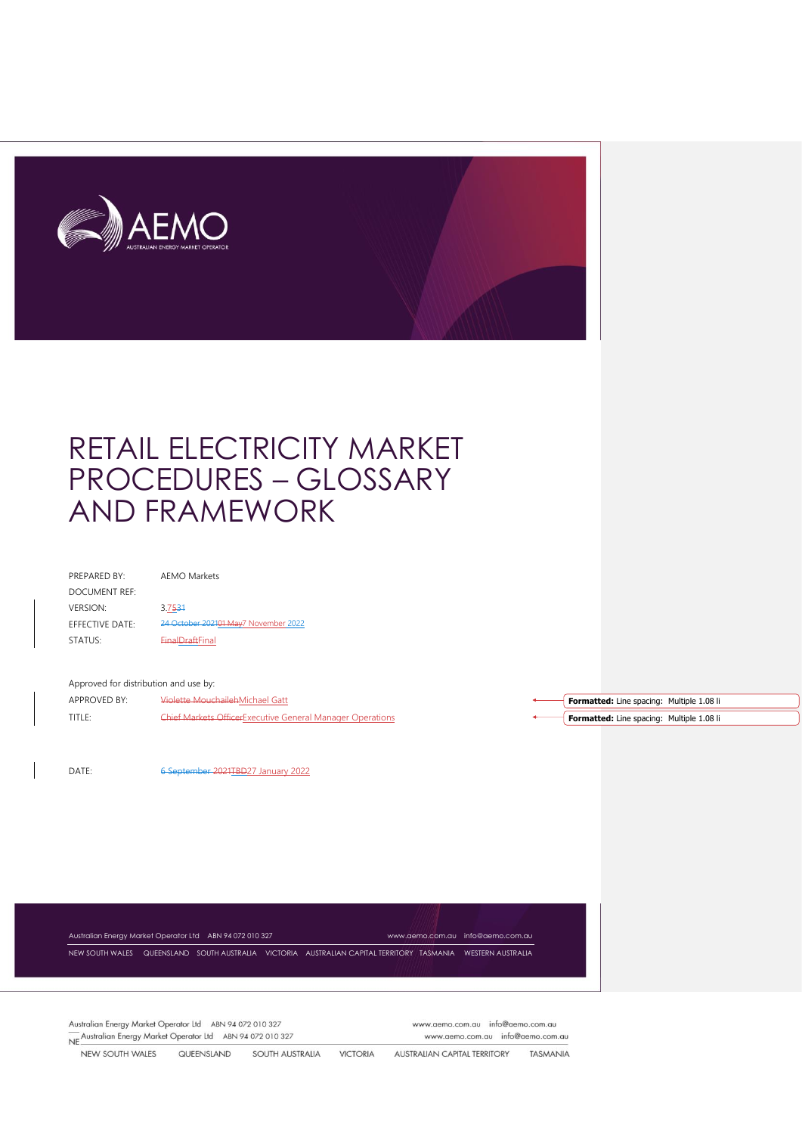

| <b>PREPARED BY:</b>    | AFMO Markets                         |
|------------------------|--------------------------------------|
| DOCUMENT REF:          |                                      |
| <b>VERSION:</b>        | 3.7531                               |
| <b>FFFECTIVE DATE:</b> | 24 October 202101 May7 November 2022 |
| STATUS:                | <b>EinalDraftFinal</b>               |
|                        |                                      |

#### Approved for distribution and use by:

APPROVED BY: Violette MouchailehMichael Gatt TITLE: Chief Markets OfficerExecutive General Manager Operations

DATE: 6 September 2021TBD27 January 2022

Australian Energy Market Operator Ltd ABN 94 072 010 327 [www.aemo.com.au](http://www.aemo.com.au/) [info@aemo.com.au](mailto:info@aemo.com.au) NEW SOUTH WALES QUEENSLAND SOUTH AUSTRALIA VICTORIA AUSTRALIAN CAPITAL TERRITORY TASMANIA WESTERN AUSTRALIA

Australian Energy Market Operator Ltd ABN 94 072 010 327 Neshundi Energy Market Operator Ltd ABN 94 072 010 327 www.aemo.com.au info@aemo.com.au www.aemo.com.au info@aemo.com.au

NEW SOUTH WALES QUEENSLAND SOUTH AUSTRALIA VICTORIA **AUSTRALIAN CAPITAL TERRITORY** TASMANIA

**Formatted:** Line spacing: Multiple 1.08 li **Formatted:** Line spacing: Multiple 1.08 li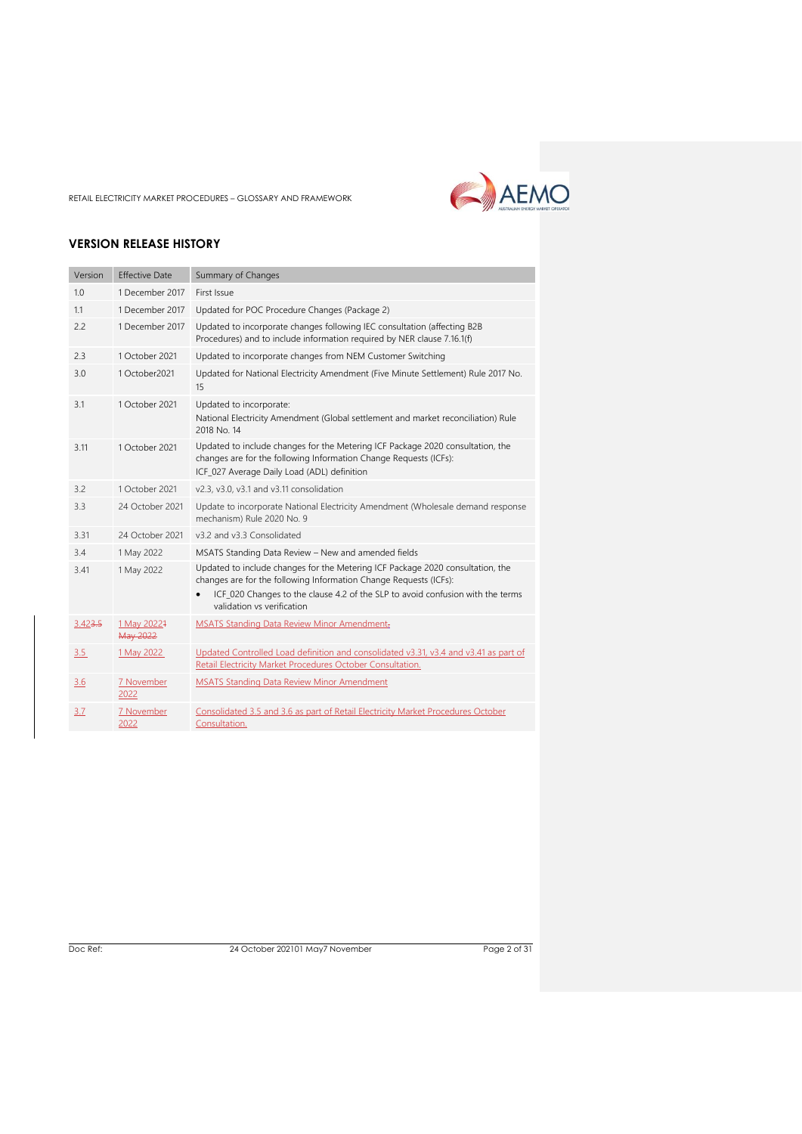

# **VERSION RELEASE HISTORY**

| Version | <b>Effective Date</b>   | Summary of Changes                                                                                                                                                                                                                                                  |
|---------|-------------------------|---------------------------------------------------------------------------------------------------------------------------------------------------------------------------------------------------------------------------------------------------------------------|
| 1.0     | 1 December 2017         | First Issue                                                                                                                                                                                                                                                         |
| 1.1     | 1 December 2017         | Updated for POC Procedure Changes (Package 2)                                                                                                                                                                                                                       |
| 2.2     | 1 December 2017         | Updated to incorporate changes following IEC consultation (affecting B2B<br>Procedures) and to include information required by NER clause 7.16.1(f)                                                                                                                 |
| 2.3     | 1 October 2021          | Updated to incorporate changes from NEM Customer Switching                                                                                                                                                                                                          |
| 3.0     | 1 October 2021          | Updated for National Electricity Amendment (Five Minute Settlement) Rule 2017 No.<br>15                                                                                                                                                                             |
| 3.1     | 1 October 2021          | Updated to incorporate:<br>National Electricity Amendment (Global settlement and market reconciliation) Rule<br>2018 No. 14                                                                                                                                         |
| 3.11    | 1 October 2021          | Updated to include changes for the Metering ICF Package 2020 consultation, the<br>changes are for the following Information Change Requests (ICFs):<br>ICF_027 Average Daily Load (ADL) definition                                                                  |
| 3.2     | 1 October 2021          | v2.3, v3.0, v3.1 and v3.11 consolidation                                                                                                                                                                                                                            |
| 3.3     | 24 October 2021         | Update to incorporate National Electricity Amendment (Wholesale demand response<br>mechanism) Rule 2020 No. 9                                                                                                                                                       |
| 3.31    | 24 October 2021         | v3.2 and v3.3 Consolidated                                                                                                                                                                                                                                          |
| 3.4     | 1 May 2022              | MSATS Standing Data Review - New and amended fields                                                                                                                                                                                                                 |
| 3.41    | 1 May 2022              | Updated to include changes for the Metering ICF Package 2020 consultation, the<br>changes are for the following Information Change Requests (ICFs):<br>ICF_020 Changes to the clause 4.2 of the SLP to avoid confusion with the terms<br>validation vs verification |
|         |                         |                                                                                                                                                                                                                                                                     |
| 3.423.5 | 1 May 20221<br>May 2022 | <b>MSATS Standing Data Review Minor Amendment:</b>                                                                                                                                                                                                                  |
| 3.5     | 1 May 2022              | Updated Controlled Load definition and consolidated v3.31, v3.4 and v3.41 as part of<br>Retail Electricity Market Procedures October Consultation.                                                                                                                  |
| 3.6     | 7 November<br>2022      | <b>MSATS Standing Data Review Minor Amendment</b>                                                                                                                                                                                                                   |
| 3.7     | 7 November<br>2022      | Consolidated 3.5 and 3.6 as part of Retail Electricity Market Procedures October<br>Consultation.                                                                                                                                                                   |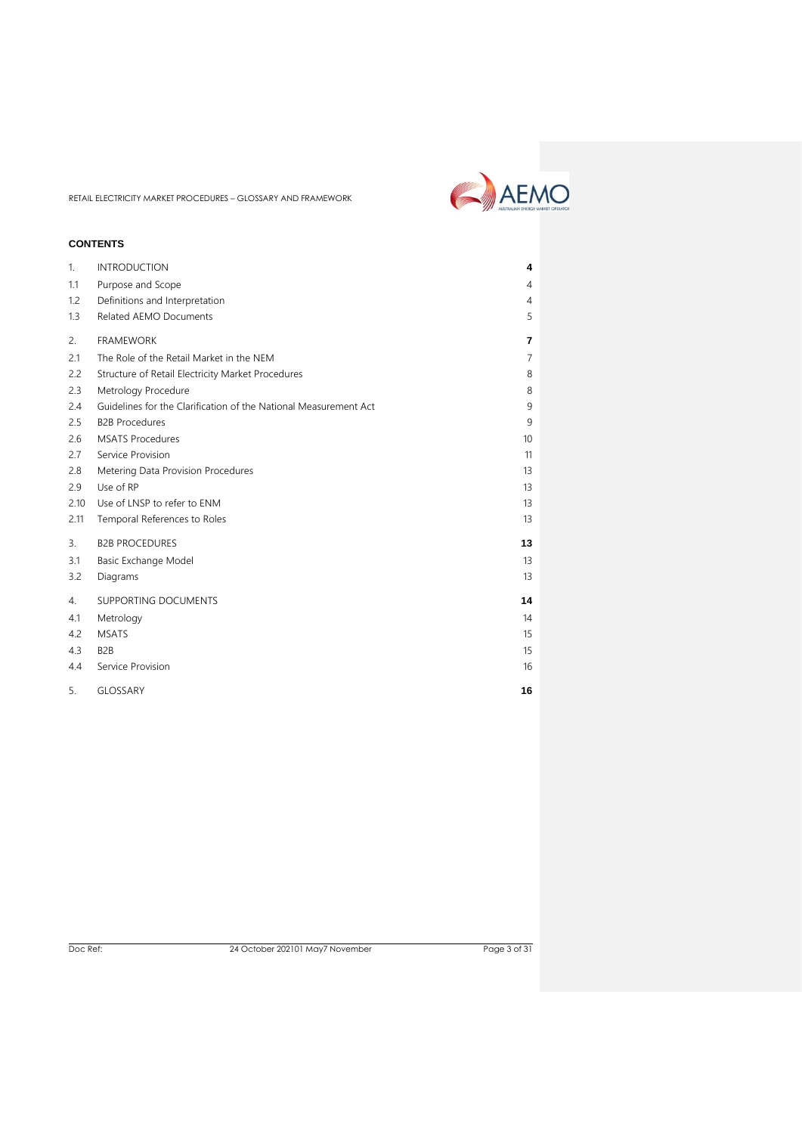

# **CONTENTS**

| $\mathbf{1}$ . | <b>INTRODUCTION</b>                                              | 4  |  |
|----------------|------------------------------------------------------------------|----|--|
| 1.1            | Purpose and Scope                                                | 4  |  |
| 1.2            | Definitions and Interpretation                                   | 4  |  |
| 1.3            | <b>Related AEMO Documents</b>                                    | 5  |  |
| 2.             | <b>FRAMEWORK</b>                                                 | 7  |  |
| 2.1            | The Role of the Retail Market in the NEM                         | 7  |  |
| 2.2            | Structure of Retail Electricity Market Procedures                | 8  |  |
| 2.3            | Metrology Procedure                                              | 8  |  |
| 2.4            | Guidelines for the Clarification of the National Measurement Act | 9  |  |
| 2.5            | <b>B2B Procedures</b>                                            | 9  |  |
| 2.6            | <b>MSATS Procedures</b>                                          | 10 |  |
| 2.7            | Service Provision                                                | 11 |  |
| 2.8            | Metering Data Provision Procedures                               | 13 |  |
| 2.9            | Use of RP                                                        | 13 |  |
| 2.10           | Use of LNSP to refer to ENM                                      | 13 |  |
| 2.11           | Temporal References to Roles                                     | 13 |  |
| 3.             | <b>B2B PROCEDURES</b>                                            | 13 |  |
| 3.1            | Basic Exchange Model                                             | 13 |  |
| 3.2            | Diagrams                                                         | 13 |  |
| 4.             | <b>SUPPORTING DOCUMENTS</b>                                      | 14 |  |
| 4.1            | Metrology                                                        | 14 |  |
| 4.2            | <b>MSATS</b>                                                     | 15 |  |
| 4.3            | B <sub>2</sub> B                                                 | 15 |  |
| 4.4            | Service Provision                                                | 16 |  |
| 5.             | <b>GLOSSARY</b>                                                  | 16 |  |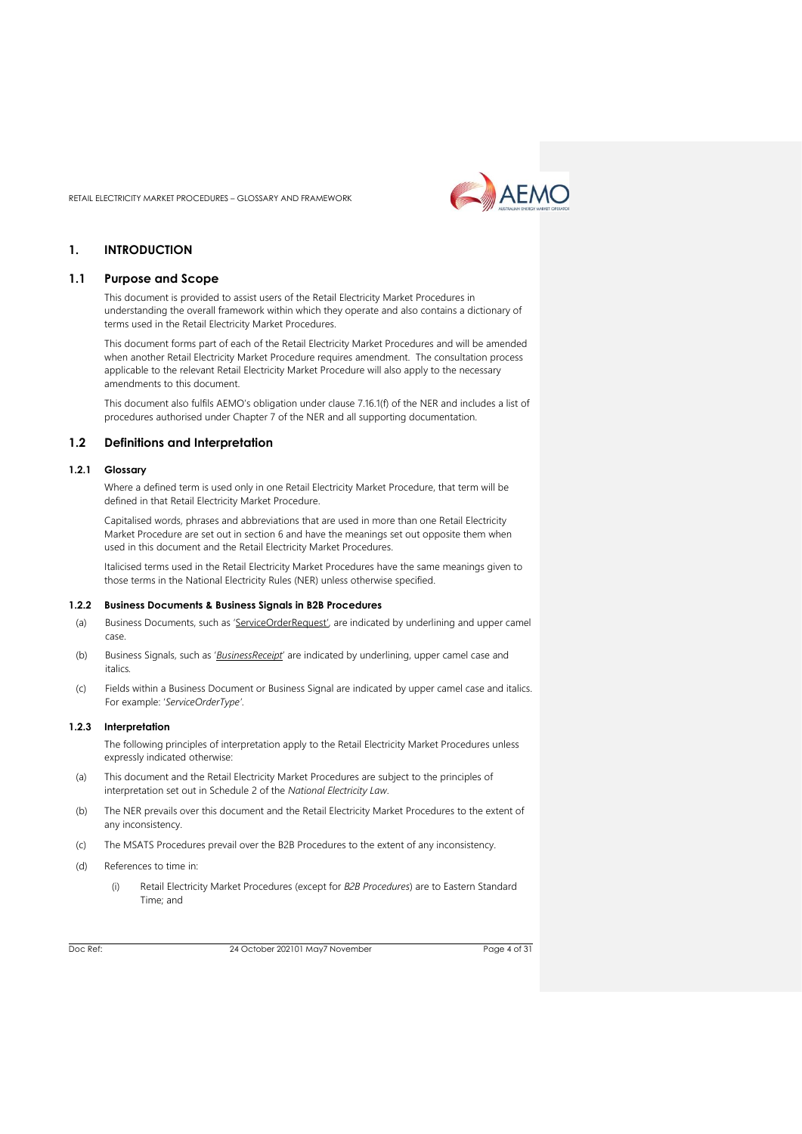

# <span id="page-3-0"></span>**1. INTRODUCTION**

# <span id="page-3-1"></span>**1.1 Purpose and Scope**

This document is provided to assist users of the Retail Electricity Market Procedures in understanding the overall framework within which they operate and also contains a dictionary of terms used in the Retail Electricity Market Procedures.

This document forms part of each of the Retail Electricity Market Procedures and will be amended when another Retail Electricity Market Procedure requires amendment. The consultation process applicable to the relevant Retail Electricity Market Procedure will also apply to the necessary amendments to this document.

This document also fulfils AEMO's obligation under clause 7.16.1(f) of the NER and includes a list of procedures authorised under Chapter 7 of the NER and all supporting documentation.

#### <span id="page-3-2"></span>**1.2 Definitions and Interpretation**

#### **1.2.1 Glossary**

Where a defined term is used only in one Retail Electricity Market Procedure, that term will be defined in that Retail Electricity Market Procedure.

Capitalised words, phrases and abbreviations that are used in more than one Retail Electricity Market Procedure are set out in section 6 and have the meanings set out opposite them when used in this document and the Retail Electricity Market Procedures.

Italicised terms used in the Retail Electricity Market Procedures have the same meanings given to those terms in the National Electricity Rules (NER) unless otherwise specified.

#### **1.2.2 Business Documents & Business Signals in B2B Procedures**

- (a) Business Documents, such as 'ServiceOrderRequest', are indicated by underlining and upper camel case.
- (b) Business Signals, such as '*BusinessReceipt*' are indicated by underlining, upper camel case and italics*.*
- (c) Fields within a Business Document or Business Signal are indicated by upper camel case and italics. For example: '*ServiceOrderType'*.

#### **1.2.3 Interpretation**

The following principles of interpretation apply to the Retail Electricity Market Procedures unless expressly indicated otherwise:

- (a) This document and the Retail Electricity Market Procedures are subject to the principles of interpretation set out in Schedule 2 of the *National Electricity Law*.
- (b) The NER prevails over this document and the Retail Electricity Market Procedures to the extent of any inconsistency.
- (c) The MSATS Procedures prevail over the B2B Procedures to the extent of any inconsistency.
- (d) References to time in:
	- (i) Retail Electricity Market Procedures (except for *B2B Procedures*) are to Eastern Standard Time; and

Doc Ref: 24 October 202101 May7 November

Page 4 of 31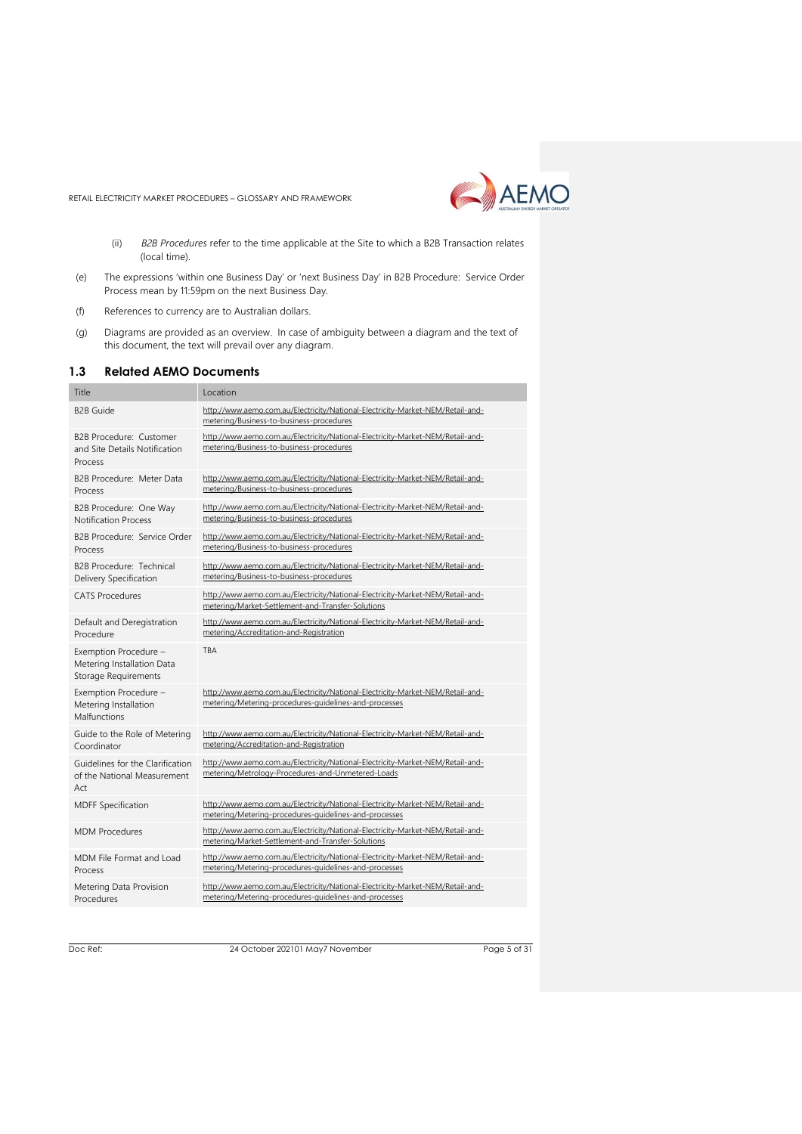

- (ii) *B2B Procedures* refer to the time applicable at the Site to which a B2B Transaction relates (local time).
- (e) The expressions 'within one Business Day' or 'next Business Day' in B2B Procedure: Service Order Process mean by 11:59pm on the next Business Day.
- (f) References to currency are to Australian dollars.
- (g) Diagrams are provided as an overview. In case of ambiguity between a diagram and the text of this document, the text will prevail over any diagram.

#### <span id="page-4-0"></span>**1.3 Related AEMO Documents**

| Title                                                                              | Location                                                                                                                                |
|------------------------------------------------------------------------------------|-----------------------------------------------------------------------------------------------------------------------------------------|
| <b>B2B Guide</b>                                                                   | http://www.aemo.com.au/Electricity/National-Electricity-Market-NEM/Retail-and-<br>metering/Business-to-business-procedures              |
| B2B Procedure: Customer<br>and Site Details Notification<br>Process                | http://www.aemo.com.au/Electricity/National-Electricity-Market-NEM/Retail-and-<br>metering/Business-to-business-procedures              |
| B2B Procedure: Meter Data<br>Process                                               | http://www.aemo.com.au/Electricity/National-Electricity-Market-NEM/Retail-and-<br>metering/Business-to-business-procedures              |
| B2B Procedure: One Way<br><b>Notification Process</b>                              | http://www.aemo.com.au/Electricity/National-Electricity-Market-NEM/Retail-and-<br>metering/Business-to-business-procedures              |
| B2B Procedure: Service Order<br>Process                                            | http://www.aemo.com.au/Electricity/National-Electricity-Market-NEM/Retail-and-<br>metering/Business-to-business-procedures              |
| B2B Procedure: Technical<br>Delivery Specification                                 | http://www.aemo.com.au/Electricity/National-Electricity-Market-NEM/Retail-and-<br>metering/Business-to-business-procedures              |
| <b>CATS Procedures</b>                                                             | http://www.aemo.com.au/Electricity/National-Electricity-Market-NEM/Retail-and-<br>metering/Market-Settlement-and-Transfer-Solutions     |
| Default and Deregistration<br>Procedure                                            | http://www.aemo.com.au/Electricity/National-Electricity-Market-NEM/Retail-and-<br>metering/Accreditation-and-Registration               |
|                                                                                    |                                                                                                                                         |
| Exemption Procedure -<br>Metering Installation Data<br><b>Storage Requirements</b> | <b>TBA</b>                                                                                                                              |
| Exemption Procedure -<br>Metering Installation<br>Malfunctions                     | http://www.aemo.com.au/Electricity/National-Electricity-Market-NEM/Retail-and-<br>metering/Metering-procedures-guidelines-and-processes |
| Guide to the Role of Metering<br>Coordinator                                       | http://www.aemo.com.au/Electricity/National-Electricity-Market-NEM/Retail-and-<br>metering/Accreditation-and-Registration               |
| Guidelines for the Clarification<br>of the National Measurement<br>Act             | http://www.aemo.com.au/Electricity/National-Electricity-Market-NEM/Retail-and-<br>metering/Metrology-Procedures-and-Unmetered-Loads     |
| <b>MDFF Specification</b>                                                          | http://www.aemo.com.au/Electricity/National-Electricity-Market-NEM/Retail-and-<br>metering/Metering-procedures-guidelines-and-processes |
| <b>MDM Procedures</b>                                                              | http://www.aemo.com.au/Electricity/National-Electricity-Market-NEM/Retail-and-<br>metering/Market-Settlement-and-Transfer-Solutions     |
| MDM File Format and Load<br>Process                                                | http://www.aemo.com.au/Electricity/National-Electricity-Market-NEM/Retail-and-<br>metering/Metering-procedures-guidelines-and-processes |

Doc Ref: 24 October 202101 May7 November

Page 5 of 31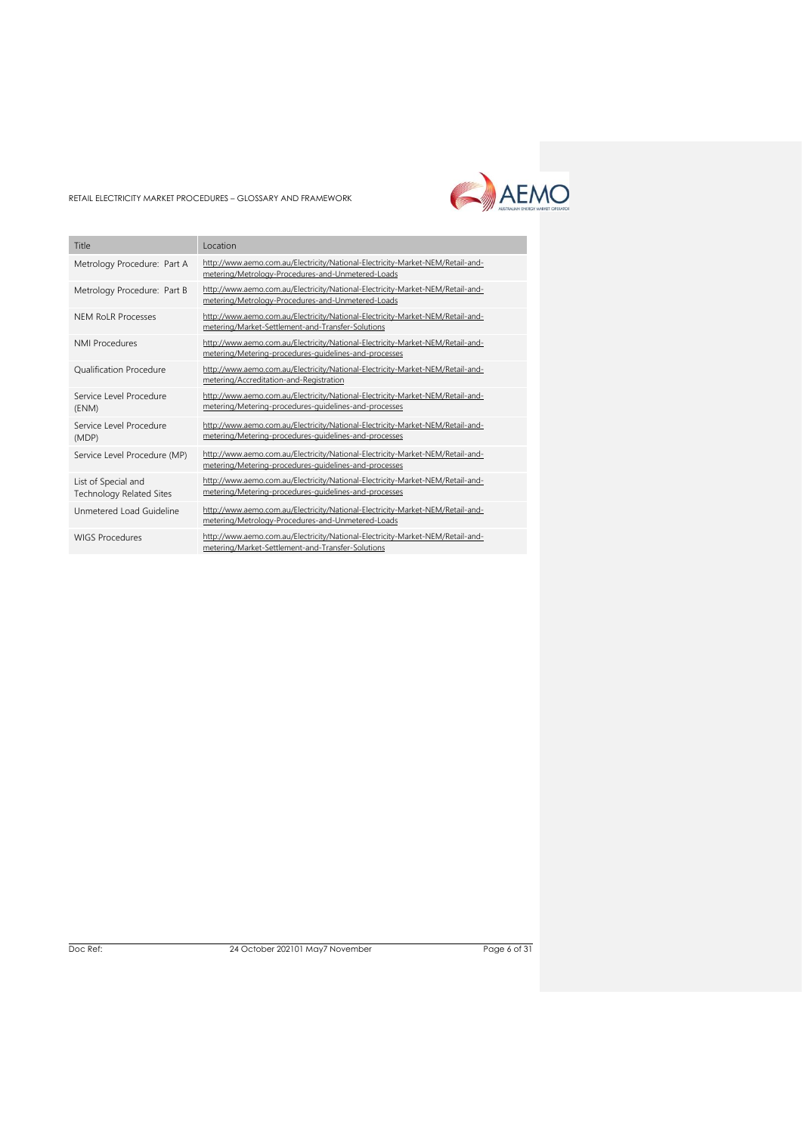

| Title                                                  | Location                                                                                                                                |
|--------------------------------------------------------|-----------------------------------------------------------------------------------------------------------------------------------------|
| Metrology Procedure: Part A                            | http://www.aemo.com.au/Electricity/National-Electricity-Market-NEM/Retail-and-<br>metering/Metrology-Procedures-and-Unmetered-Loads     |
| Metrology Procedure: Part B                            | http://www.aemo.com.au/Electricity/National-Electricity-Market-NEM/Retail-and-<br>metering/Metrology-Procedures-and-Unmetered-Loads     |
| <b>NEM RoLR Processes</b>                              | http://www.aemo.com.au/Electricity/National-Electricity-Market-NEM/Retail-and-<br>metering/Market-Settlement-and-Transfer-Solutions     |
| <b>NMI Procedures</b>                                  | http://www.aemo.com.au/Electricity/National-Electricity-Market-NEM/Retail-and-<br>metering/Metering-procedures-guidelines-and-processes |
| <b>Oualification Procedure</b>                         | http://www.aemo.com.au/Electricity/National-Electricity-Market-NEM/Retail-and-<br>metering/Accreditation-and-Registration               |
| Service Level Procedure<br>(ENM)                       | http://www.aemo.com.au/Electricity/National-Electricity-Market-NEM/Retail-and-<br>metering/Metering-procedures-guidelines-and-processes |
| Service Level Procedure<br>(MDP)                       | http://www.aemo.com.au/Electricity/National-Electricity-Market-NEM/Retail-and-<br>metering/Metering-procedures-guidelines-and-processes |
| Service Level Procedure (MP)                           | http://www.aemo.com.au/Electricity/National-Electricity-Market-NEM/Retail-and-<br>metering/Metering-procedures-guidelines-and-processes |
| List of Special and<br><b>Technology Related Sites</b> | http://www.aemo.com.au/Electricity/National-Electricity-Market-NEM/Retail-and-<br>metering/Metering-procedures-guidelines-and-processes |
| Unmetered Load Guideline                               | http://www.aemo.com.au/Electricity/National-Electricity-Market-NEM/Retail-and-<br>metering/Metrology-Procedures-and-Unmetered-Loads     |
| <b>WIGS Procedures</b>                                 | http://www.aemo.com.au/Electricity/National-Electricity-Market-NEM/Retail-and-<br>metering/Market-Settlement-and-Transfer-Solutions     |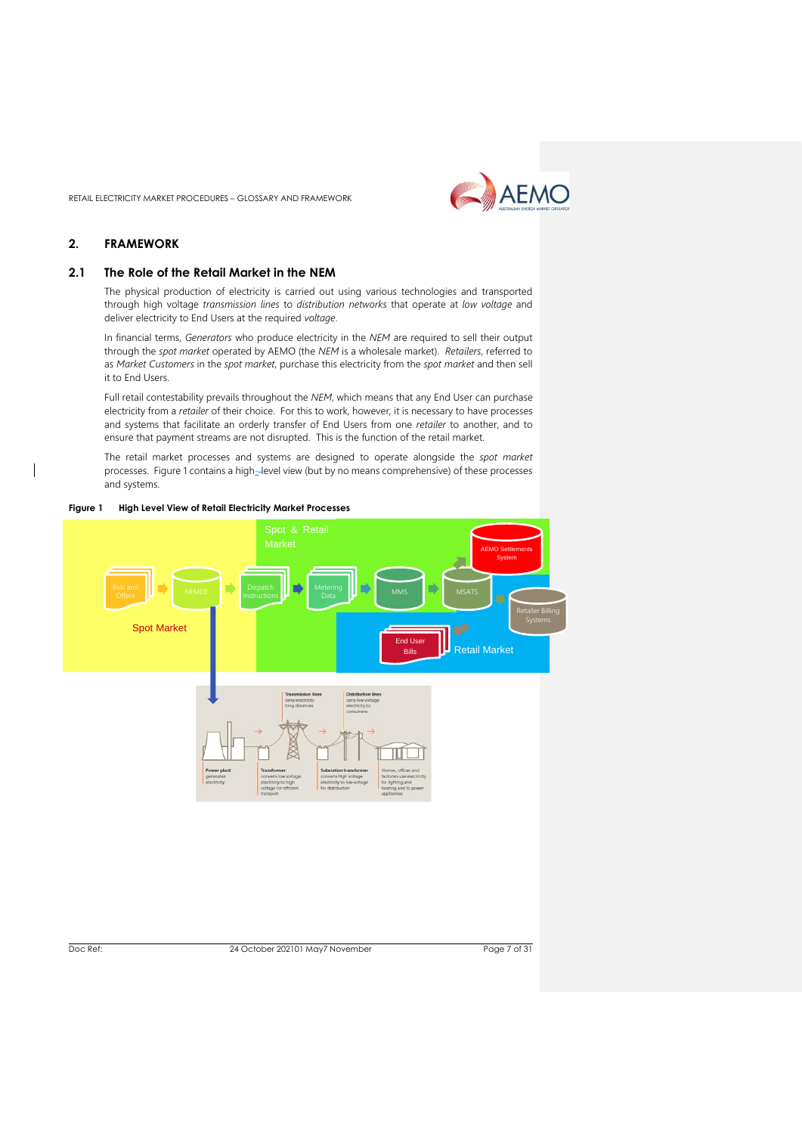

# <span id="page-6-0"></span>**2. FRAMEWORK**

# <span id="page-6-1"></span>**2.1 The Role of the Retail Market in the NEM**

The physical production of electricity is carried out using various technologies and transported through high voltage *transmission lines* to *distribution networks* that operate at *low voltage* and deliver electricity to End Users at the required *voltage*.

In financial terms, *Generators* who produce electricity in the *NEM* are required to sell their output through the *spot market* operated by AEMO (the *NEM* is a wholesale market). *Retailers*, referred to as *Market Customers* in the *spot market*, purchase this electricity from the *spot market* and then sell it to End Users.

Full retail contestability prevails throughout the *NEM*, which means that any End User can purchase electricity from a *retailer* of their choice. For this to work, however, it is necessary to have processes and systems that facilitate an orderly transfer of End Users from one *retailer* to another, and to ensure that payment streams are not disrupted. This is the function of the retail market.

The retail market processes and systems are designed to operate alongside the *spot market* processes. Figure 1 contains a high-level view (but by no means comprehensive) of these processes and systems.



**Figure 1 High Level View of Retail Electricity Market Processes**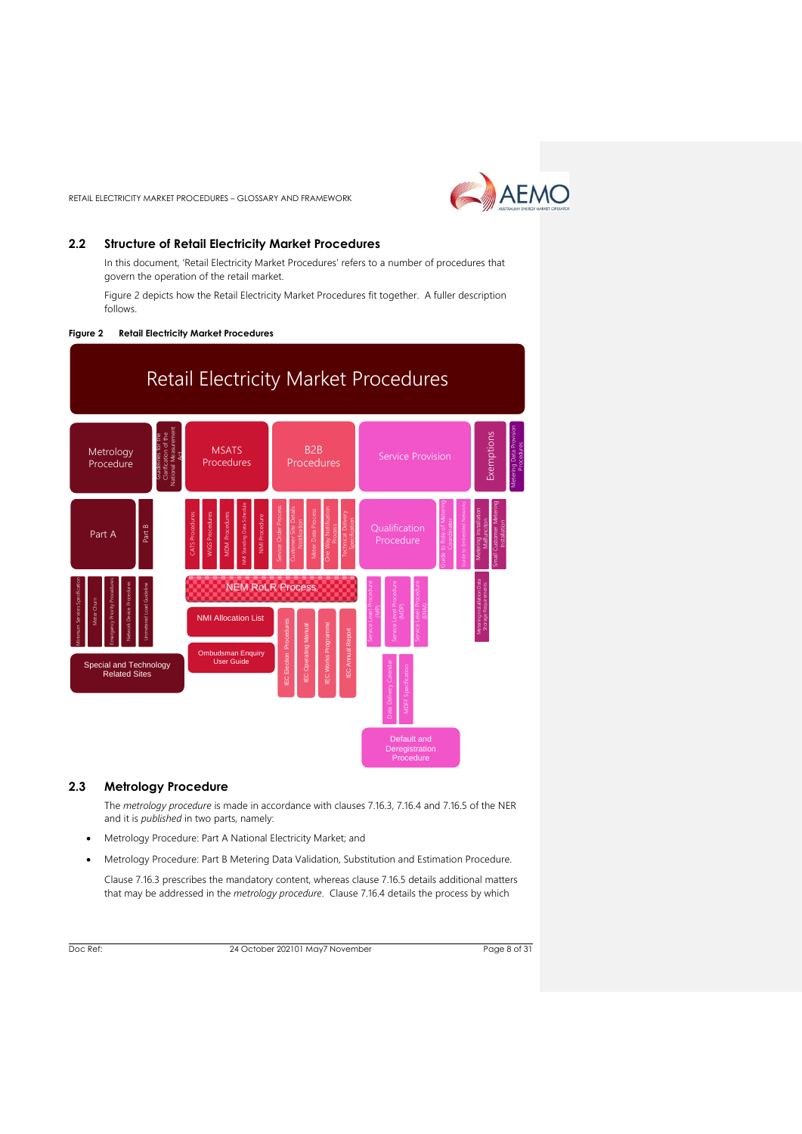

# <span id="page-7-0"></span>**2.2 Structure of Retail Electricity Market Procedures**

In this document, 'Retail Electricity Market Procedures' refers to a number of procedures that govern the operation of the retail market.

Figure 2 depicts how the Retail Electricity Market Procedures fit together. A fuller description follows.

#### **Figure 2 Retail Electricity Market Procedures**



# <span id="page-7-1"></span>**2.3 Metrology Procedure**

The *metrology procedure* is made in accordance with clauses 7.16.3, 7.16.4 and 7.16.5 of the NER and it is *published* in two parts, namely:

- Metrology Procedure: Part A National Electricity Market; and
- Metrology Procedure: Part B Metering Data Validation, Substitution and Estimation Procedure.

Clause 7.16.3 prescribes the mandatory content, whereas clause 7.16.5 details additional matters that may be addressed in the *metrology procedure*. Clause 7.16.4 details the process by which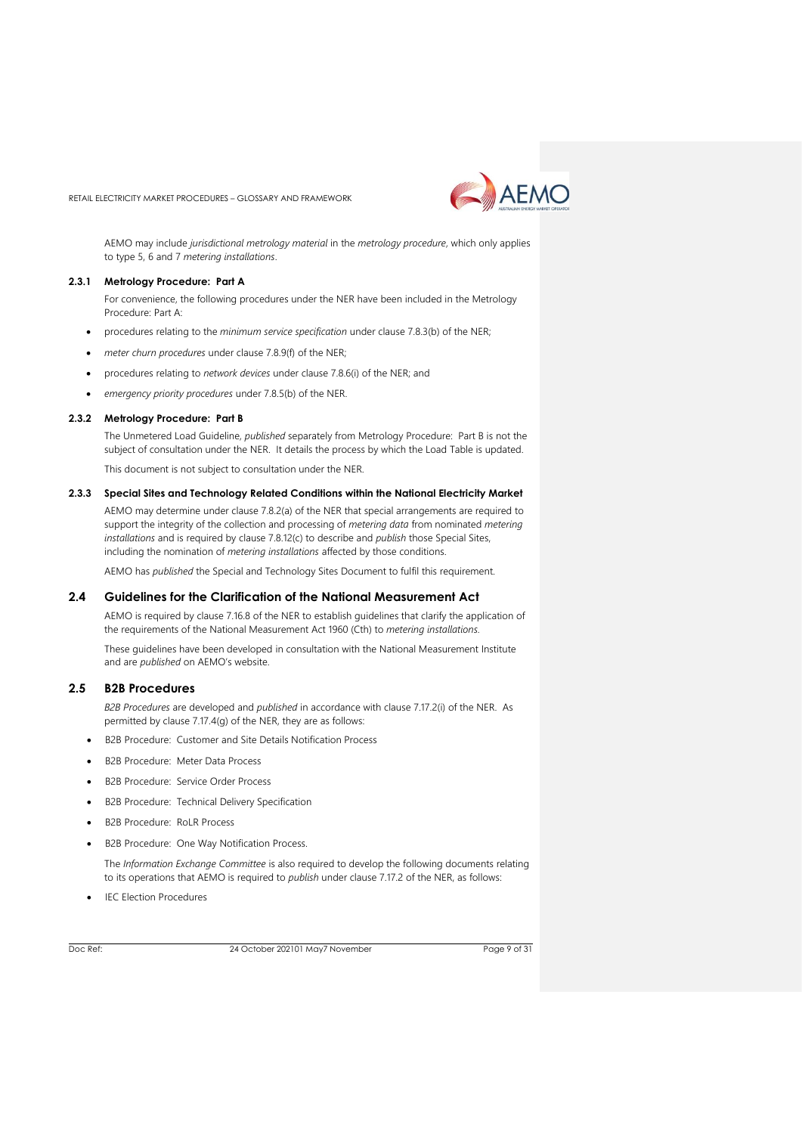

AEMO may include *jurisdictional metrology material* in the *metrology procedure*, which only applies to type 5, 6 and 7 *metering installations*.

# **2.3.1 Metrology Procedure: Part A**

For convenience, the following procedures under the NER have been included in the Metrology Procedure: Part A:

- procedures relating to the *minimum service specification* under clause 7.8.3(b) of the NER;
- *meter churn procedures* under clause 7.8.9(f) of the NER;
- procedures relating to *network devices* under clause 7.8.6(i) of the NER; and
- *emergency priority procedures* under 7.8.5(b) of the NER.

#### **2.3.2 Metrology Procedure: Part B**

The Unmetered Load Guideline, *published* separately from Metrology Procedure: Part B is not the subject of consultation under the NER. It details the process by which the Load Table is updated. This document is not subject to consultation under the NER.

#### **2.3.3 Special Sites and Technology Related Conditions within the National Electricity Market**

AEMO may determine under clause 7.8.2(a) of the NER that special arrangements are required to support the integrity of the collection and processing of *metering data* from nominated *metering installations* and is required by clause 7.8.12(c) to describe and *publish* those Special Sites, including the nomination of *metering installations* affected by those conditions.

AEMO has *published* the Special and Technology Sites Document to fulfil this requirement.

# <span id="page-8-0"></span>**2.4 Guidelines for the Clarification of the National Measurement Act**

AEMO is required by clause 7.16.8 of the NER to establish guidelines that clarify the application of the requirements of the National Measurement Act 1960 (Cth) to *metering installations.*

These guidelines have been developed in consultation with the National Measurement Institute and are *published* on AEMO's website.

# <span id="page-8-1"></span>**2.5 B2B Procedures**

*B2B Procedures* are developed and *published* in accordance with clause 7.17.2(i) of the NER. As permitted by clause 7.17.4(g) of the NER, they are as follows:

- B2B Procedure: Customer and Site Details Notification Process
- B2B Procedure: Meter Data Process
- B2B Procedure: Service Order Process
- B2B Procedure: Technical Delivery Specification
- B2B Procedure: RoLR Process
- B2B Procedure: One Way Notification Process.

The *Information Exchange Committee* is also required to develop the following documents relating to its operations that AEMO is required to *publish* under clause 7.17.2 of the NER, as follows:

**IEC Election Procedures**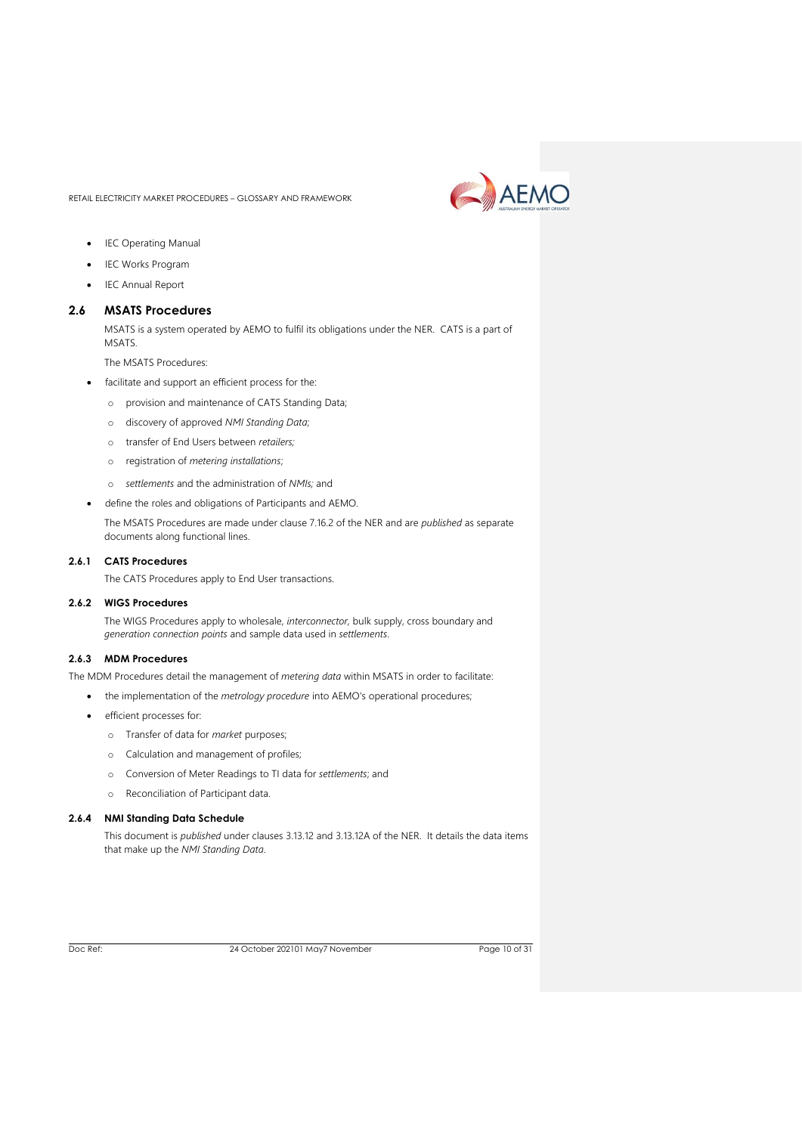

- IEC Operating Manual
- **IEC Works Program**
- IEC Annual Report

# <span id="page-9-0"></span>**2.6 MSATS Procedures**

MSATS is a system operated by AEMO to fulfil its obligations under the NER. CATS is a part of MSATS.

The MSATS Procedures:

- facilitate and support an efficient process for the:
	- o provision and maintenance of CATS Standing Data;
	- o discovery of approved *NMI Standing Data*;
	- o transfer of End Users between *retailers;*
	- o registration of *metering installations*;
	- o *settlements* and the administration of *NMIs;* and
- define the roles and obligations of Participants and AEMO.

The MSATS Procedures are made under clause 7.16.2 of the NER and are *published* as separate documents along functional lines.

#### **2.6.1 CATS Procedures**

The CATS Procedures apply to End User transactions.

#### **2.6.2 WIGS Procedures**

The WIGS Procedures apply to wholesale, *interconnector,* bulk supply, cross boundary and *generation connection points* and sample data used in *settlements*.

# **2.6.3 MDM Procedures**

The MDM Procedures detail the management of *metering data* within MSATS in order to facilitate:

- the implementation of the *metrology procedure* into AEMO's operational procedures;
- efficient processes for:
	- o Transfer of data for *market* purposes;
	- o Calculation and management of profiles;
	- o Conversion of Meter Readings to TI data for *settlements*; and
	- o Reconciliation of Participant data.

#### **2.6.4 NMI Standing Data Schedule**

This document is *published* under clauses 3.13.12 and 3.13.12A of the NER. It details the data items that make up the *NMI Standing Data*.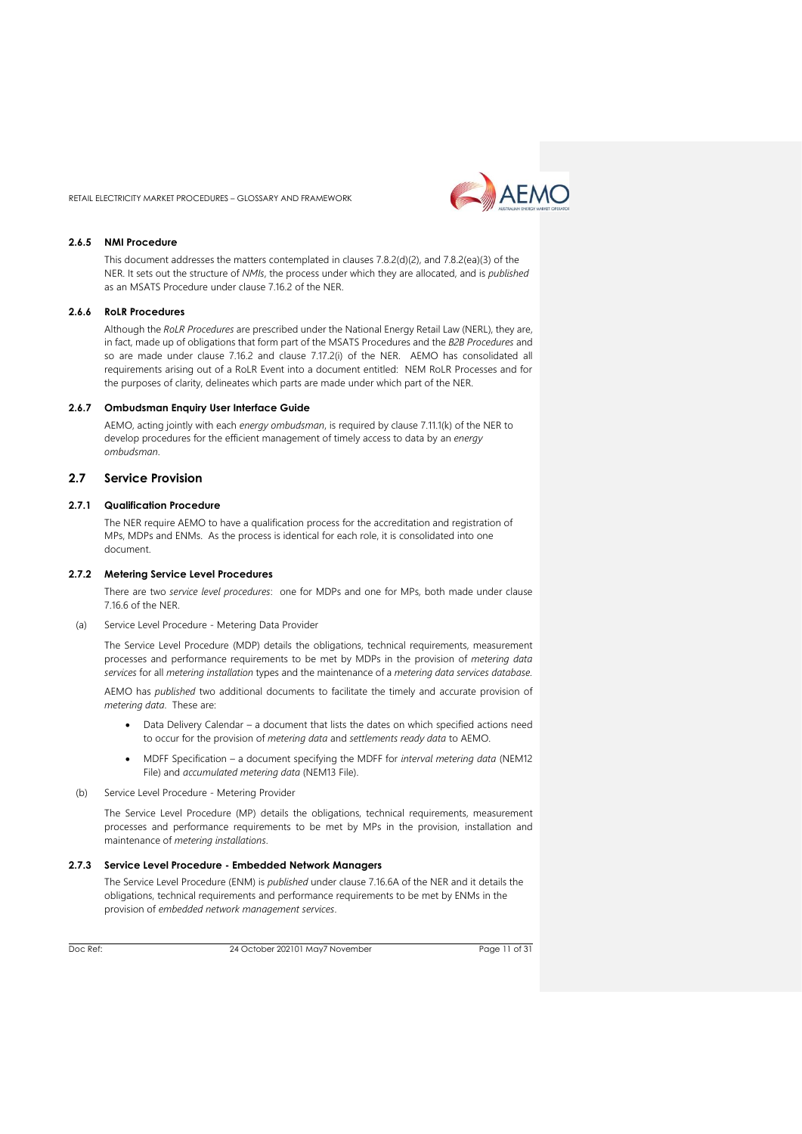

#### **2.6.5 NMI Procedure**

This document addresses the matters contemplated in clauses 7.8.2(d)(2), and 7.8.2(ea)(3) of the NER. It sets out the structure of *NMIs*, the process under which they are allocated, and is *published* as an MSATS Procedure under clause 7.16.2 of the NER.

#### **2.6.6 RoLR Procedures**

Although the *RoLR Procedures* are prescribed under the National Energy Retail Law (NERL), they are, in fact, made up of obligations that form part of the MSATS Procedures and the *B2B Procedures* and so are made under clause 7.16.2 and clause 7.17.2(i) of the NER. AEMO has consolidated all requirements arising out of a RoLR Event into a document entitled: NEM RoLR Processes and for the purposes of clarity, delineates which parts are made under which part of the NER.

#### **2.6.7 Ombudsman Enquiry User Interface Guide**

AEMO, acting jointly with each *energy ombudsman*, is required by clause 7.11.1(k) of the NER to develop procedures for the efficient management of timely access to data by an *energy ombudsman*.

# <span id="page-10-0"></span>**2.7 Service Provision**

#### **2.7.1 Qualification Procedure**

The NER require AEMO to have a qualification process for the accreditation and registration of MPs, MDPs and ENMs. As the process is identical for each role, it is consolidated into one document.

#### **2.7.2 Metering Service Level Procedures**

There are two *service level procedures*: one for MDPs and one for MPs, both made under clause 7.16.6 of the NER.

(a) Service Level Procedure - Metering Data Provider

The Service Level Procedure (MDP) details the obligations, technical requirements, measurement processes and performance requirements to be met by MDPs in the provision of *metering data services* for all *metering installation* types and the maintenance of a *metering data services database.*

AEMO has *published* two additional documents to facilitate the timely and accurate provision of *metering data*. These are:

- Data Delivery Calendar a document that lists the dates on which specified actions need to occur for the provision of *metering data* and *settlements ready data* to AEMO.
- MDFF Specification a document specifying the MDFF for *interval metering data* (NEM12 File) and *accumulated metering data* (NEM13 File).
- (b) Service Level Procedure Metering Provider

The Service Level Procedure (MP) details the obligations, technical requirements, measurement processes and performance requirements to be met by MPs in the provision, installation and maintenance of *metering installations*.

#### **2.7.3 Service Level Procedure - Embedded Network Managers**

The Service Level Procedure (ENM) is *published* under clause 7.16.6A of the NER and it details the obligations, technical requirements and performance requirements to be met by ENMs in the provision of *embedded network management services*.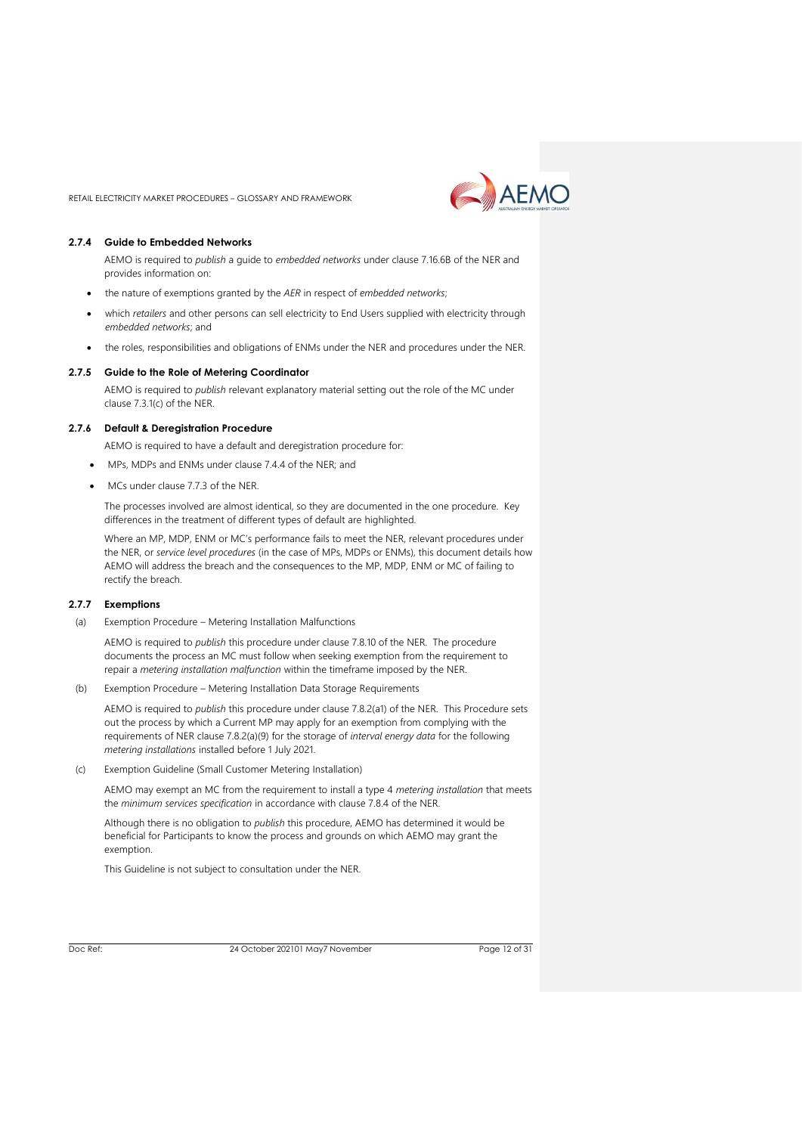

#### **2.7.4 Guide to Embedded Networks**

AEMO is required to *publish* a guide to *embedded networks* under clause 7.16.6B of the NER and provides information on:

- the nature of exemptions granted by the *AER* in respect of *embedded networks*;
- which *retailers* and other persons can sell electricity to End Users supplied with electricity through *embedded networks*; and
- the roles, responsibilities and obligations of ENMs under the NER and procedures under the NER.

#### **2.7.5 Guide to the Role of Metering Coordinator**

AEMO is required to *publish* relevant explanatory material setting out the role of the MC under clause 7.3.1(c) of the NER.

#### **2.7.6 Default & Deregistration Procedure**

AEMO is required to have a default and deregistration procedure for:

- MPs, MDPs and ENMs under clause 7.4.4 of the NER; and
- MCs under clause 7.7.3 of the NER.

The processes involved are almost identical, so they are documented in the one procedure. Key differences in the treatment of different types of default are highlighted.

Where an MP, MDP, ENM or MC's performance fails to meet the NER, relevant procedures under the NER, or *service level procedures* (in the case of MPs, MDPs or ENMs), this document details how AEMO will address the breach and the consequences to the MP, MDP, ENM or MC of failing to rectify the breach.

#### **2.7.7 Exemptions**

(a) Exemption Procedure – Metering Installation Malfunctions

AEMO is required to *publish* this procedure under clause 7.8.10 of the NER. The procedure documents the process an MC must follow when seeking exemption from the requirement to repair a *metering installation malfunction* within the timeframe imposed by the NER.

(b) Exemption Procedure – Metering Installation Data Storage Requirements

AEMO is required to *publish* this procedure under clause 7.8.2(a1) of the NER. This Procedure sets out the process by which a Current MP may apply for an exemption from complying with the requirements of NER clause 7.8.2(a)(9) for the storage of *interval energy data* for the following *metering installations* installed before 1 July 2021.

(c) Exemption Guideline (Small Customer Metering Installation)

AEMO may exempt an MC from the requirement to install a type 4 *metering installation* that meets the *minimum services specification* in accordance with clause 7.8.4 of the NER.

Although there is no obligation to *publish* this procedure, AEMO has determined it would be beneficial for Participants to know the process and grounds on which AEMO may grant the exemption.

This Guideline is not subject to consultation under the NER.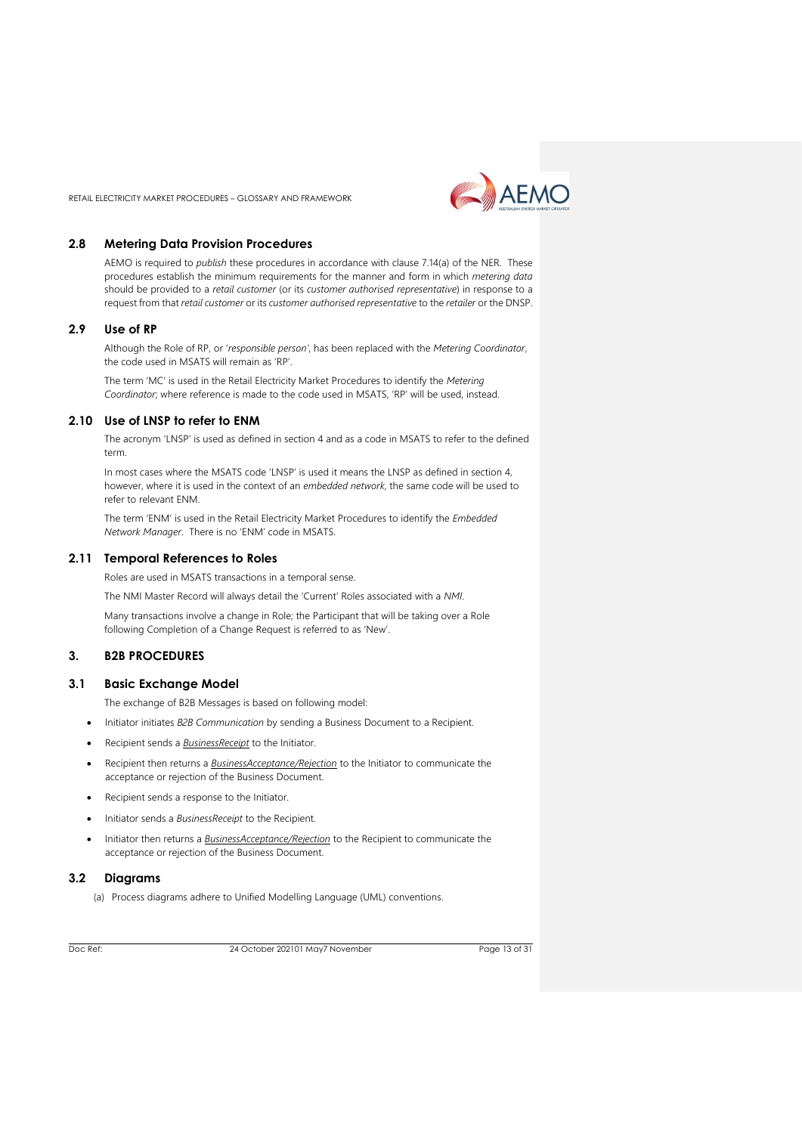

# <span id="page-12-0"></span>**2.8 Metering Data Provision Procedures**

AEMO is required to *publish* these procedures in accordance with clause 7.14(a) of the NER. These procedures establish the minimum requirements for the manner and form in which *metering data* should be provided to a *retail customer* (or its *customer authorised representative*) in response to a request from that *retail customer* or its *customer authorised representative* to the *retailer* or the DNSP.

#### <span id="page-12-1"></span>**2.9 Use of RP**

Although the Role of RP, or '*responsible person'*, has been replaced with the *Metering Coordinator*, the code used in MSATS will remain as 'RP'.

The term 'MC' is used in the Retail Electricity Market Procedures to identify the *Metering Coordinator*; where reference is made to the code used in MSATS, 'RP' will be used, instead.

# <span id="page-12-2"></span>**2.10 Use of LNSP to refer to ENM**

The acronym 'LNSP' is used as defined in section 4 and as a code in MSATS to refer to the defined term.

In most cases where the MSATS code 'LNSP' is used it means the LNSP as defined in section 4, however, where it is used in the context of an *embedded network*, the same code will be used to refer to relevant ENM.

The term 'ENM' is used in the Retail Electricity Market Procedures to identify the *Embedded Network Manager*. There is no 'ENM' code in MSATS.

#### <span id="page-12-3"></span>**2.11 Temporal References to Roles**

Roles are used in MSATS transactions in a temporal sense.

The NMI Master Record will always detail the 'Current' Roles associated with a *NMI*.

Many transactions involve a change in Role; the Participant that will be taking over a Role following Completion of a Change Request is referred to as 'New'.

# <span id="page-12-4"></span>**3. B2B PROCEDURES**

# <span id="page-12-5"></span>**3.1 Basic Exchange Model**

The exchange of B2B Messages is based on following model:

- Initiator initiates *B2B Communication* by sending a Business Document to a Recipient.
- Recipient sends a *BusinessReceipt* to the Initiator.
- Recipient then returns a *BusinessAcceptance/Rejection* to the Initiator to communicate the acceptance or rejection of the Business Document.
- Recipient sends a response to the Initiator.
- Initiator sends a *BusinessReceipt* to the Recipient.
- Initiator then returns a *BusinessAcceptance/Rejection* to the Recipient to communicate the acceptance or rejection of the Business Document.

### <span id="page-12-6"></span>**3.2 Diagrams**

(a) Process diagrams adhere to Unified Modelling Language (UML) conventions.

Doc Ref: 24 October 202101 May7 November

Page 13 of 31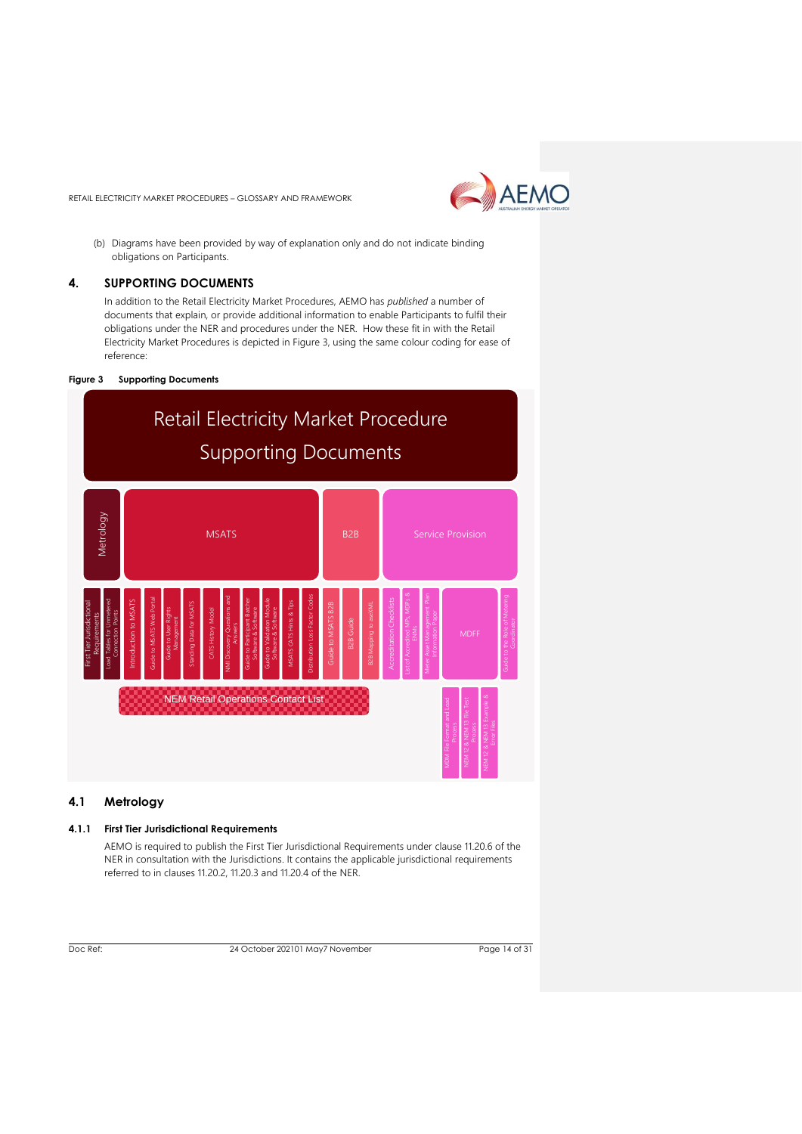

(b) Diagrams have been provided by way of explanation only and do not indicate binding obligations on Participants.

#### <span id="page-13-0"></span>**4. SUPPORTING DOCUMENTS**

In addition to the Retail Electricity Market Procedures, AEMO has *published* a number of documents that explain, or provide additional information to enable Participants to fulfil their obligations under the NER and procedures under the NER. How these fit in with the Retail Electricity Market Procedures is depicted in Figure 3, using the same colour coding for ease of reference:

#### **Figure 3 Supporting Documents**



# <span id="page-13-1"></span>**4.1 Metrology**

# **4.1.1 First Tier Jurisdictional Requirements**

AEMO is required to publish the First Tier Jurisdictional Requirements under clause 11.20.6 of the NER in consultation with the Jurisdictions. It contains the applicable jurisdictional requirements referred to in clauses 11.20.2, 11.20.3 and 11.20.4 of the NER.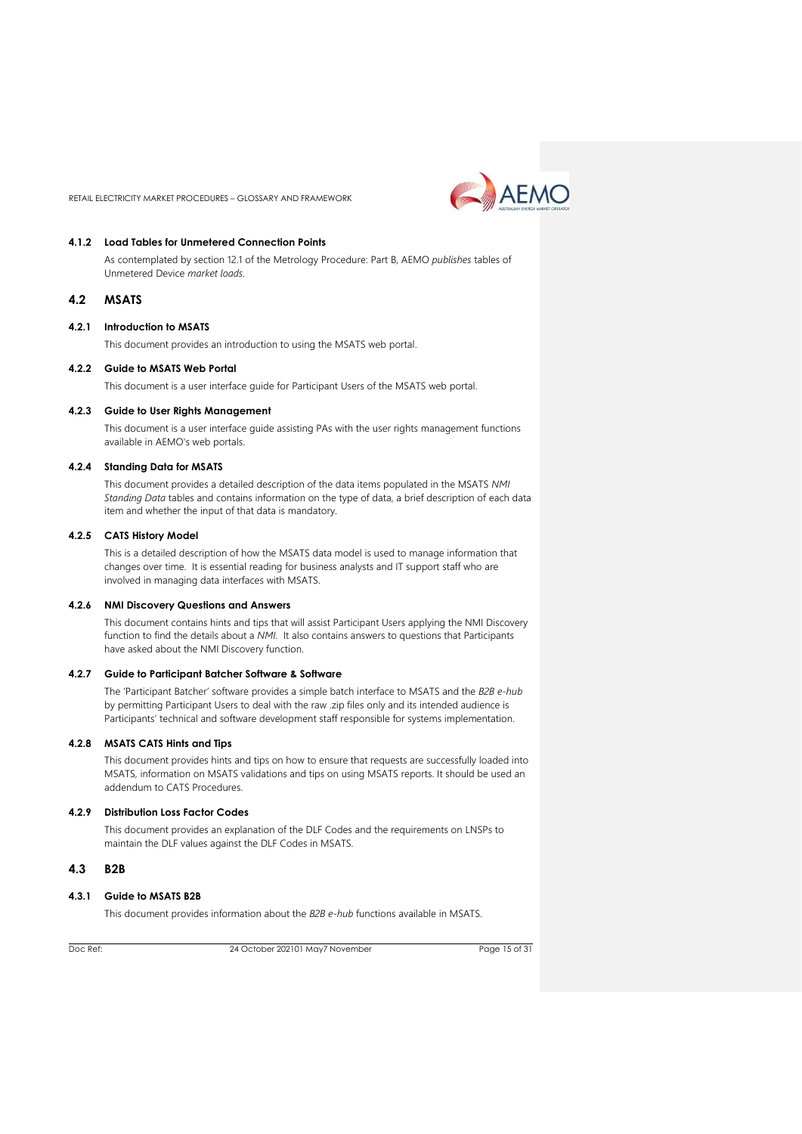

### **4.1.2 Load Tables for Unmetered Connection Points**

As contemplated by section 12.1 of the Metrology Procedure: Part B, AEMO *publishes* tables of Unmetered Device *market loads*.

#### <span id="page-14-0"></span>**4.2 MSATS**

#### **4.2.1 Introduction to MSATS**

This document provides an introduction to using the MSATS web portal.

#### **4.2.2 Guide to MSATS Web Portal**

This document is a user interface guide for Participant Users of the MSATS web portal.

#### **4.2.3 Guide to User Rights Management**

This document is a user interface guide assisting PAs with the user rights management functions available in AEMO's web portals.

#### **4.2.4 Standing Data for MSATS**

This document provides a detailed description of the data items populated in the MSATS *NMI Standing Data* tables and contains information on the type of data, a brief description of each data item and whether the input of that data is mandatory.

#### **4.2.5 CATS History Model**

This is a detailed description of how the MSATS data model is used to manage information that changes over time. It is essential reading for business analysts and IT support staff who are involved in managing data interfaces with MSATS.

#### **4.2.6 NMI Discovery Questions and Answers**

This document contains hints and tips that will assist Participant Users applying the NMI Discovery function to find the details about a *NMI*. It also contains answers to questions that Participants have asked about the NMI Discovery function.

# **4.2.7 Guide to Participant Batcher Software & Software**

The 'Participant Batcher' software provides a simple batch interface to MSATS and the *B2B e-hub* by permitting Participant Users to deal with the raw .zip files only and its intended audience is Participants' technical and software development staff responsible for systems implementation.

#### **4.2.8 MSATS CATS Hints and Tips**

This document provides hints and tips on how to ensure that requests are successfully loaded into MSATS, information on MSATS validations and tips on using MSATS reports. It should be used an addendum to CATS Procedures.

#### **4.2.9 Distribution Loss Factor Codes**

This document provides an explanation of the DLF Codes and the requirements on LNSPs to maintain the DLF values against the DLF Codes in MSATS.

#### <span id="page-14-1"></span>**4.3 B2B**

# **4.3.1 Guide to MSATS B2B**

This document provides information about the *B2B e-hub* functions available in MSATS.

Doc Ref: 24 October 202101 May7 November

Page 15 of 31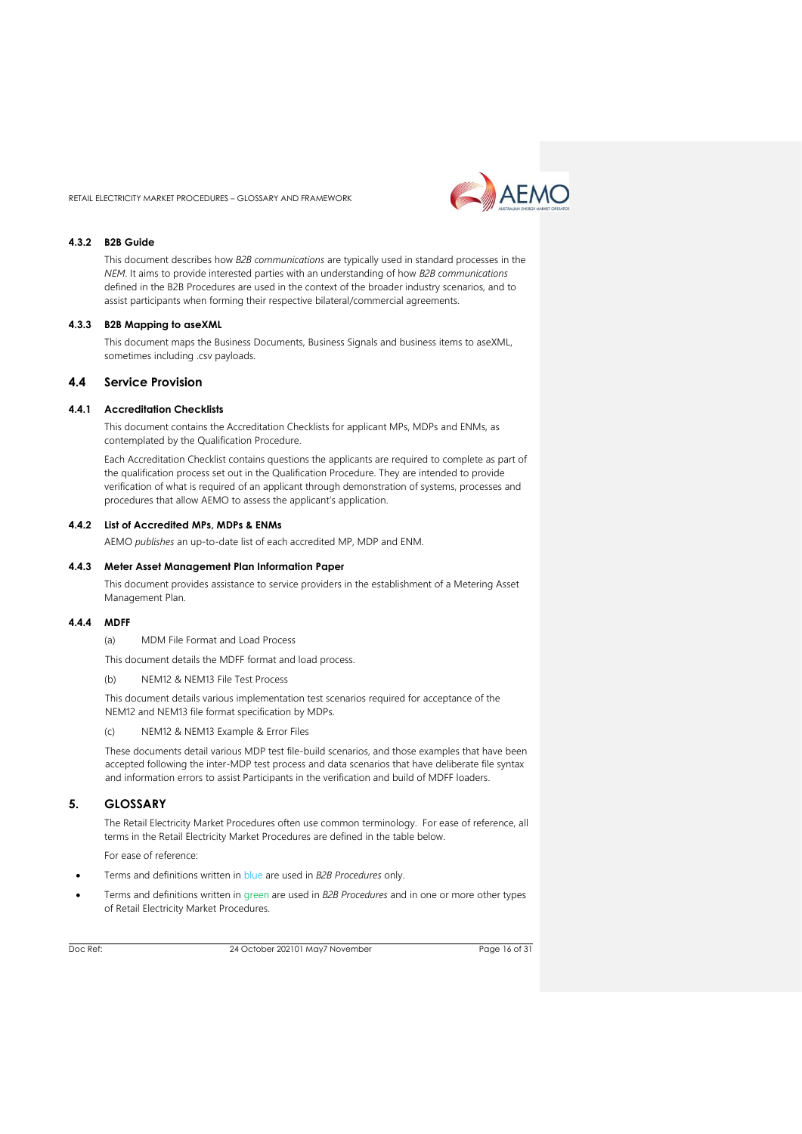AEMO

RETAIL ELECTRICITY MARKET PROCEDURES – GLOSSARY AND FRAMEWORK

#### **4.3.2 B2B Guide**

This document describes how *B2B communications* are typically used in standard processes in the *NEM*. It aims to provide interested parties with an understanding of how *B2B communications* defined in the B2B Procedures are used in the context of the broader industry scenarios, and to assist participants when forming their respective bilateral/commercial agreements.

#### **4.3.3 B2B Mapping to aseXML**

This document maps the Business Documents, Business Signals and business items to aseXML, sometimes including .csv payloads.

# <span id="page-15-0"></span>**4.4 Service Provision**

#### **4.4.1 Accreditation Checklists**

This document contains the Accreditation Checklists for applicant MPs, MDPs and ENMs, as contemplated by the Qualification Procedure.

Each Accreditation Checklist contains questions the applicants are required to complete as part of the qualification process set out in the Qualification Procedure. They are intended to provide verification of what is required of an applicant through demonstration of systems, processes and procedures that allow AEMO to assess the applicant's application.

#### **4.4.2 List of Accredited MPs, MDPs & ENMs**

AEMO *publishes* an up-to-date list of each accredited MP, MDP and ENM.

#### **4.4.3 Meter Asset Management Plan Information Paper**

This document provides assistance to service providers in the establishment of a Metering Asset Management Plan.

#### **4.4.4 MDFF**

(a) MDM File Format and Load Process

- This document details the MDFF format and load process.
- (b) NEM12 & NEM13 File Test Process

This document details various implementation test scenarios required for acceptance of the NEM12 and NEM13 file format specification by MDPs.

(c) NEM12 & NEM13 Example & Error Files

These documents detail various MDP test file-build scenarios, and those examples that have been accepted following the inter-MDP test process and data scenarios that have deliberate file syntax and information errors to assist Participants in the verification and build of MDFF loaders.

# <span id="page-15-1"></span>**5. GLOSSARY**

The Retail Electricity Market Procedures often use common terminology. For ease of reference, all terms in the Retail Electricity Market Procedures are defined in the table below.

For ease of reference:

- Terms and definitions written in blue are used in *B2B Procedures* only.
- Terms and definitions written in green are used in *B2B Procedures* and in one or more other types of Retail Electricity Market Procedures.

Doc Ref: 24 October 202101 May7 November

Page 16 of 31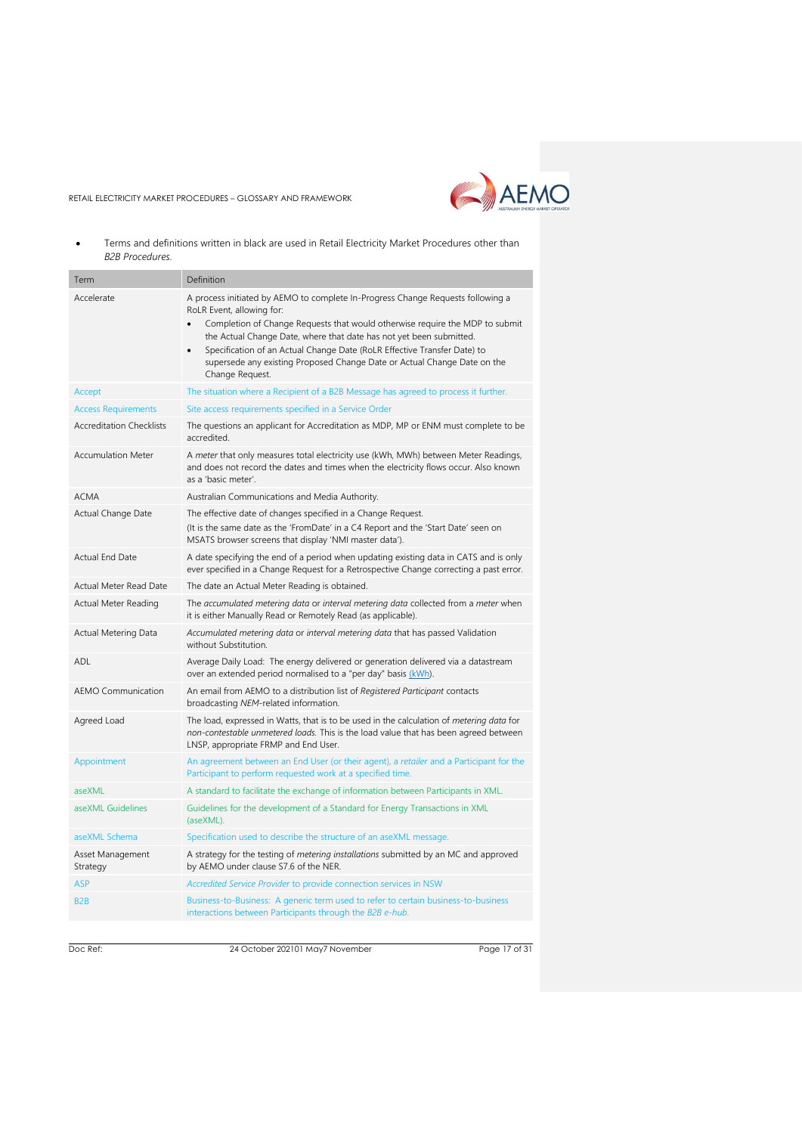

• Terms and definitions written in black are used in Retail Electricity Market Procedures other than *B2B Procedures.*

| Term                            | Definition                                                                                                                                                                                                                                                                                                                                                                                                                                                  |
|---------------------------------|-------------------------------------------------------------------------------------------------------------------------------------------------------------------------------------------------------------------------------------------------------------------------------------------------------------------------------------------------------------------------------------------------------------------------------------------------------------|
| Accelerate                      | A process initiated by AEMO to complete In-Progress Change Requests following a<br>RoLR Event, allowing for:<br>Completion of Change Requests that would otherwise require the MDP to submit<br>the Actual Change Date, where that date has not yet been submitted.<br>Specification of an Actual Change Date (RoLR Effective Transfer Date) to<br>$\bullet$<br>supersede any existing Proposed Change Date or Actual Change Date on the<br>Change Request. |
| Accept                          | The situation where a Recipient of a B2B Message has agreed to process it further.                                                                                                                                                                                                                                                                                                                                                                          |
| <b>Access Requirements</b>      | Site access requirements specified in a Service Order                                                                                                                                                                                                                                                                                                                                                                                                       |
| <b>Accreditation Checklists</b> | The questions an applicant for Accreditation as MDP, MP or ENM must complete to be<br>accredited.                                                                                                                                                                                                                                                                                                                                                           |
| <b>Accumulation Meter</b>       | A meter that only measures total electricity use (kWh, MWh) between Meter Readings,<br>and does not record the dates and times when the electricity flows occur. Also known<br>as a 'basic meter'.                                                                                                                                                                                                                                                          |
| <b>ACMA</b>                     | Australian Communications and Media Authority.                                                                                                                                                                                                                                                                                                                                                                                                              |
| Actual Change Date              | The effective date of changes specified in a Change Request.<br>(It is the same date as the 'FromDate' in a C4 Report and the 'Start Date' seen on<br>MSATS browser screens that display 'NMI master data').                                                                                                                                                                                                                                                |
| Actual End Date                 | A date specifying the end of a period when updating existing data in CATS and is only<br>ever specified in a Change Request for a Retrospective Change correcting a past error.                                                                                                                                                                                                                                                                             |
| Actual Meter Read Date          | The date an Actual Meter Reading is obtained.                                                                                                                                                                                                                                                                                                                                                                                                               |
| Actual Meter Reading            | The accumulated metering data or interval metering data collected from a meter when<br>it is either Manually Read or Remotely Read (as applicable).                                                                                                                                                                                                                                                                                                         |
| Actual Metering Data            | Accumulated metering data or interval metering data that has passed Validation<br>without Substitution.                                                                                                                                                                                                                                                                                                                                                     |
| ADL                             | Average Daily Load: The energy delivered or generation delivered via a datastream<br>over an extended period normalised to a "per day" basis (kWh).                                                                                                                                                                                                                                                                                                         |
| <b>AEMO Communication</b>       | An email from AEMO to a distribution list of Registered Participant contacts<br>broadcasting NEM-related information.                                                                                                                                                                                                                                                                                                                                       |
| Agreed Load                     | The load, expressed in Watts, that is to be used in the calculation of <i>metering data</i> for<br>non-contestable unmetered loads. This is the load value that has been agreed between<br>LNSP, appropriate FRMP and End User.                                                                                                                                                                                                                             |
| Appointment                     | An agreement between an End User (or their agent), a retailer and a Participant for the<br>Participant to perform requested work at a specified time.                                                                                                                                                                                                                                                                                                       |
| aseXML                          | A standard to facilitate the exchange of information between Participants in XML.                                                                                                                                                                                                                                                                                                                                                                           |
| aseXML Guidelines               | Guidelines for the development of a Standard for Energy Transactions in XML<br>(aseXML).                                                                                                                                                                                                                                                                                                                                                                    |
| aseXML Schema                   | Specification used to describe the structure of an aseXML message.                                                                                                                                                                                                                                                                                                                                                                                          |
| Asset Management<br>Strategy    | A strategy for the testing of <i>metering installations</i> submitted by an MC and approved<br>by AEMO under clause S7.6 of the NER.                                                                                                                                                                                                                                                                                                                        |
| ASP                             | Accredited Service Provider to provide connection services in NSW                                                                                                                                                                                                                                                                                                                                                                                           |
| B <sub>2</sub> B                | Business-to-Business: A generic term used to refer to certain business-to-business<br>interactions between Participants through the B2B e-hub.                                                                                                                                                                                                                                                                                                              |

Doc Ref: 24 October 202101 May7 November

Page 17 of 31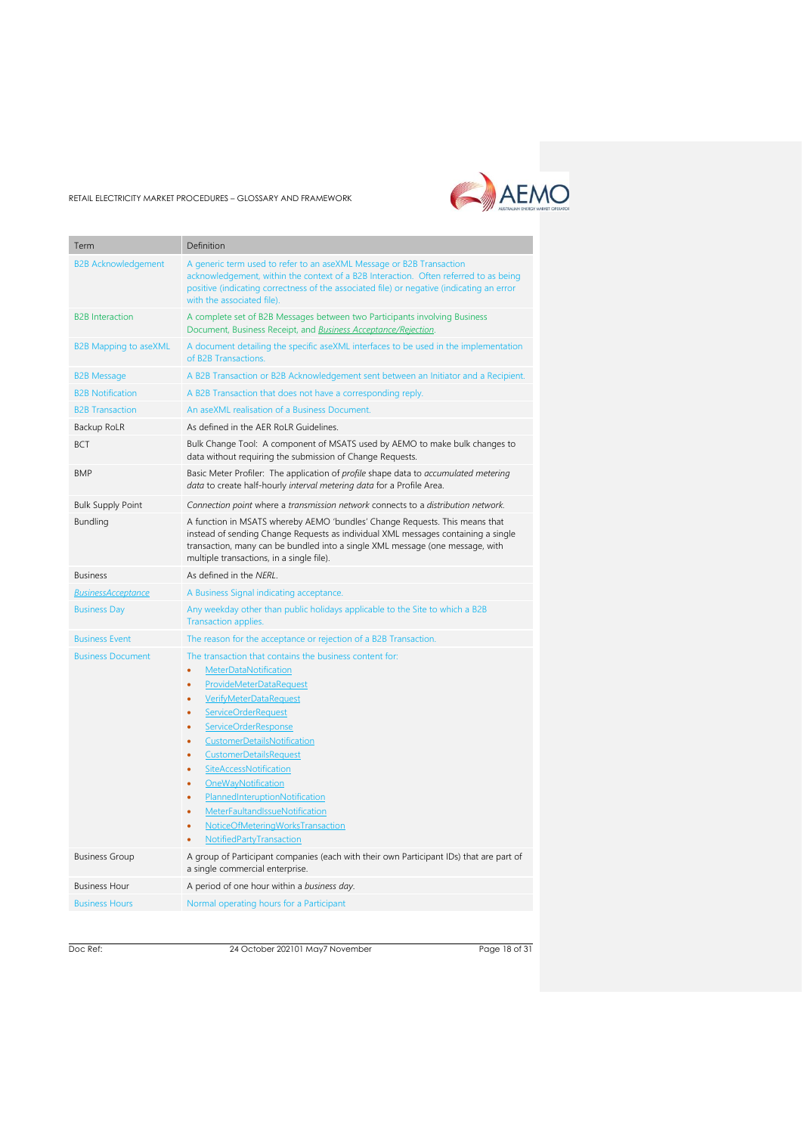

| Term                         | Definition                                                                                                                                                                                                                                                                                                                                                                                                                                                                                                                        |
|------------------------------|-----------------------------------------------------------------------------------------------------------------------------------------------------------------------------------------------------------------------------------------------------------------------------------------------------------------------------------------------------------------------------------------------------------------------------------------------------------------------------------------------------------------------------------|
|                              |                                                                                                                                                                                                                                                                                                                                                                                                                                                                                                                                   |
| <b>B2B Acknowledgement</b>   | A generic term used to refer to an aseXML Message or B2B Transaction<br>acknowledgement, within the context of a B2B Interaction. Often referred to as being<br>positive (indicating correctness of the associated file) or negative (indicating an error<br>with the associated file).                                                                                                                                                                                                                                           |
| <b>B2B</b> Interaction       | A complete set of B2B Messages between two Participants involving Business<br>Document, Business Receipt, and <b>Business Acceptance/Rejection</b> .                                                                                                                                                                                                                                                                                                                                                                              |
| <b>B2B Mapping to aseXML</b> | A document detailing the specific aseXML interfaces to be used in the implementation<br>of B2B Transactions.                                                                                                                                                                                                                                                                                                                                                                                                                      |
| <b>B2B Message</b>           | A B2B Transaction or B2B Acknowledgement sent between an Initiator and a Recipient.                                                                                                                                                                                                                                                                                                                                                                                                                                               |
| <b>B2B Notification</b>      | A B2B Transaction that does not have a corresponding reply.                                                                                                                                                                                                                                                                                                                                                                                                                                                                       |
| <b>B2B Transaction</b>       | An aseXML realisation of a Business Document.                                                                                                                                                                                                                                                                                                                                                                                                                                                                                     |
| Backup RoLR                  | As defined in the AER RoLR Guidelines.                                                                                                                                                                                                                                                                                                                                                                                                                                                                                            |
| <b>BCT</b>                   | Bulk Change Tool: A component of MSATS used by AEMO to make bulk changes to<br>data without requiring the submission of Change Requests.                                                                                                                                                                                                                                                                                                                                                                                          |
| <b>BMP</b>                   | Basic Meter Profiler: The application of profile shape data to accumulated metering<br>data to create half-hourly interval metering data for a Profile Area.                                                                                                                                                                                                                                                                                                                                                                      |
| <b>Bulk Supply Point</b>     | Connection point where a transmission network connects to a distribution network.                                                                                                                                                                                                                                                                                                                                                                                                                                                 |
| <b>Bundling</b>              | A function in MSATS whereby AEMO 'bundles' Change Requests. This means that<br>instead of sending Change Requests as individual XML messages containing a single<br>transaction, many can be bundled into a single XML message (one message, with<br>multiple transactions, in a single file).                                                                                                                                                                                                                                    |
| <b>Business</b>              | As defined in the NERL.                                                                                                                                                                                                                                                                                                                                                                                                                                                                                                           |
| <b>BusinessAcceptance</b>    | A Business Signal indicating acceptance.                                                                                                                                                                                                                                                                                                                                                                                                                                                                                          |
| <b>Business Day</b>          | Any weekday other than public holidays applicable to the Site to which a B2B<br>Transaction applies.                                                                                                                                                                                                                                                                                                                                                                                                                              |
| <b>Business Event</b>        | The reason for the acceptance or rejection of a B2B Transaction.                                                                                                                                                                                                                                                                                                                                                                                                                                                                  |
| <b>Business Document</b>     | The transaction that contains the business content for:<br>MeterDataNotification<br>۰<br><b>ProvideMeterDataRequest</b><br>ò<br><b>VerifyMeterDataRequest</b><br>ä<br><b>ServiceOrderRequest</b><br>ä<br><b>ServiceOrderResponse</b><br>٠<br>CustomerDetailsNotification<br>٠<br>CustomerDetailsRequest<br>٠<br>SiteAccessNotification<br>٠<br>OneWayNotification<br>٠<br>PlannedInteruptionNotification<br>$\bullet$<br>MeterFaultandIssueNotification<br>۰<br>NoticeOfMeteringWorksTransaction<br>۰<br>NotifiedPartyTransaction |
| <b>Business Group</b>        | A group of Participant companies (each with their own Participant IDs) that are part of<br>a single commercial enterprise.                                                                                                                                                                                                                                                                                                                                                                                                        |
| <b>Business Hour</b>         | A period of one hour within a business day.                                                                                                                                                                                                                                                                                                                                                                                                                                                                                       |
| <b>Business Hours</b>        | Normal operating hours for a Participant                                                                                                                                                                                                                                                                                                                                                                                                                                                                                          |

Doc Ref: 24 October 202101 May7 November

Page 18 of 31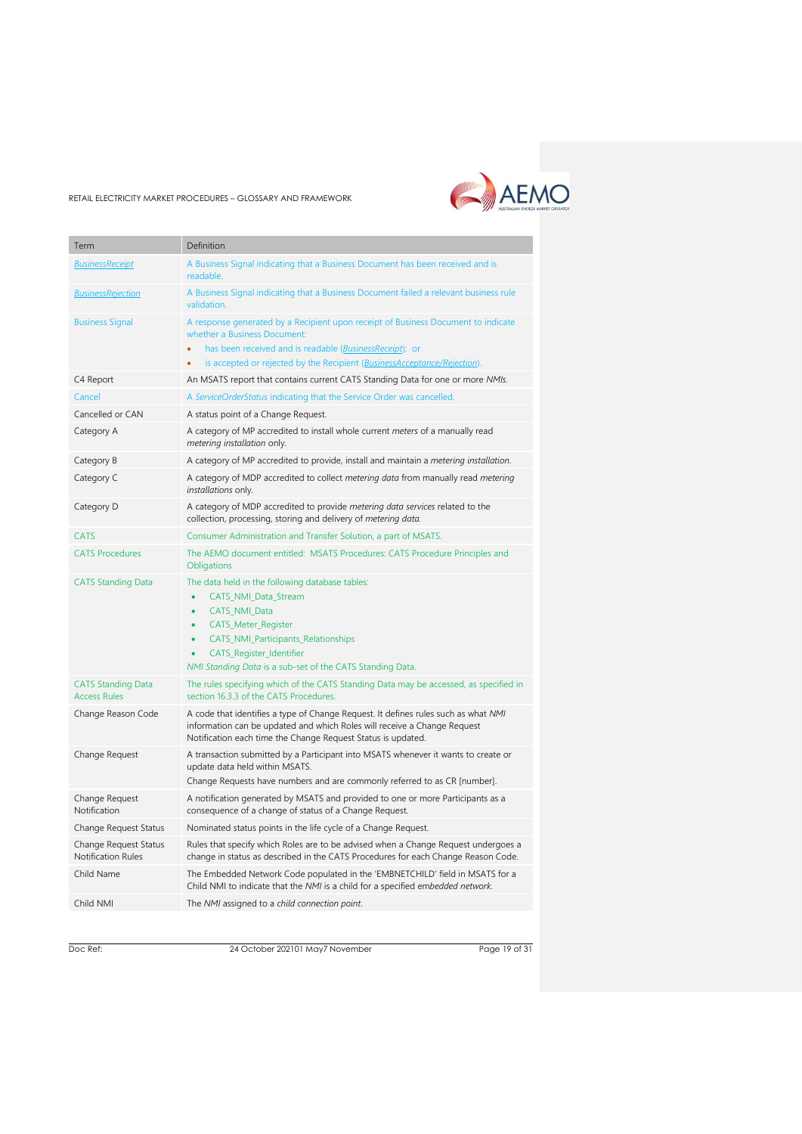

| Term                                             | Definition                                                                                                                                                                                                                                                                                                                    |
|--------------------------------------------------|-------------------------------------------------------------------------------------------------------------------------------------------------------------------------------------------------------------------------------------------------------------------------------------------------------------------------------|
| <b>BusinessReceipt</b>                           | A Business Signal indicating that a Business Document has been received and is<br>readable.                                                                                                                                                                                                                                   |
| <b>BusinessRejection</b>                         | A Business Signal indicating that a Business Document failed a relevant business rule<br>validation.                                                                                                                                                                                                                          |
| <b>Business Signal</b>                           | A response generated by a Recipient upon receipt of Business Document to indicate<br>whether a Business Document:                                                                                                                                                                                                             |
|                                                  | has been received and is readable ( <i>BusinessReceipt</i> ); or<br>is accepted or rejected by the Recipient (BusinessAcceptance/Rejection).<br>٠                                                                                                                                                                             |
| C4 Report                                        | An MSATS report that contains current CATS Standing Data for one or more NMIs.                                                                                                                                                                                                                                                |
| Cancel                                           | A Service Order Status indicating that the Service Order was cancelled.                                                                                                                                                                                                                                                       |
| Cancelled or CAN                                 | A status point of a Change Request.                                                                                                                                                                                                                                                                                           |
| Category A                                       | A category of MP accredited to install whole current meters of a manually read<br>metering installation only.                                                                                                                                                                                                                 |
| Category B                                       | A category of MP accredited to provide, install and maintain a metering installation.                                                                                                                                                                                                                                         |
| Category C                                       | A category of MDP accredited to collect metering data from manually read metering<br>installations only.                                                                                                                                                                                                                      |
| Category D                                       | A category of MDP accredited to provide metering data services related to the<br>collection, processing, storing and delivery of metering data.                                                                                                                                                                               |
| <b>CATS</b>                                      | Consumer Administration and Transfer Solution, a part of MSATS.                                                                                                                                                                                                                                                               |
| <b>CATS Procedures</b>                           | The AEMO document entitled: MSATS Procedures: CATS Procedure Principles and<br>Obligations                                                                                                                                                                                                                                    |
| <b>CATS Standing Data</b>                        | The data held in the following database tables:<br>CATS_NMI_Data_Stream<br>٠<br>CATS_NMI_Data<br>$\bullet$<br><b>CATS_Meter_Register</b><br>$\bullet$<br><b>CATS_NMI_Participants_Relationships</b><br>$\bullet$<br><b>CATS_Register_Identifier</b><br>$\bullet$<br>NMI Standing Data is a sub-set of the CATS Standing Data. |
| <b>CATS Standing Data</b><br><b>Access Rules</b> | The rules specifying which of the CATS Standing Data may be accessed, as specified in<br>section 16.3.3 of the CATS Procedures.                                                                                                                                                                                               |
| Change Reason Code                               | A code that identifies a type of Change Request. It defines rules such as what NMI<br>information can be updated and which Roles will receive a Change Request<br>Notification each time the Change Request Status is updated.                                                                                                |
| Change Request                                   | A transaction submitted by a Participant into MSATS whenever it wants to create or<br>update data held within MSATS.                                                                                                                                                                                                          |
|                                                  | Change Requests have numbers and are commonly referred to as CR [number].                                                                                                                                                                                                                                                     |
| Change Request<br>Notification                   | A notification generated by MSATS and provided to one or more Participants as a<br>consequence of a change of status of a Change Request.                                                                                                                                                                                     |
| Change Request Status                            | Nominated status points in the life cycle of a Change Request.                                                                                                                                                                                                                                                                |
| Change Request Status<br>Notification Rules      | Rules that specify which Roles are to be advised when a Change Request undergoes a<br>change in status as described in the CATS Procedures for each Change Reason Code.                                                                                                                                                       |
| Child Name                                       | The Embedded Network Code populated in the 'EMBNETCHILD' field in MSATS for a<br>Child NMI to indicate that the NMI is a child for a specified embedded network.                                                                                                                                                              |
| Child NMI                                        | The NMI assigned to a child connection point.                                                                                                                                                                                                                                                                                 |

Doc Ref: 24 October 202101 May7 November

Page 19 of 31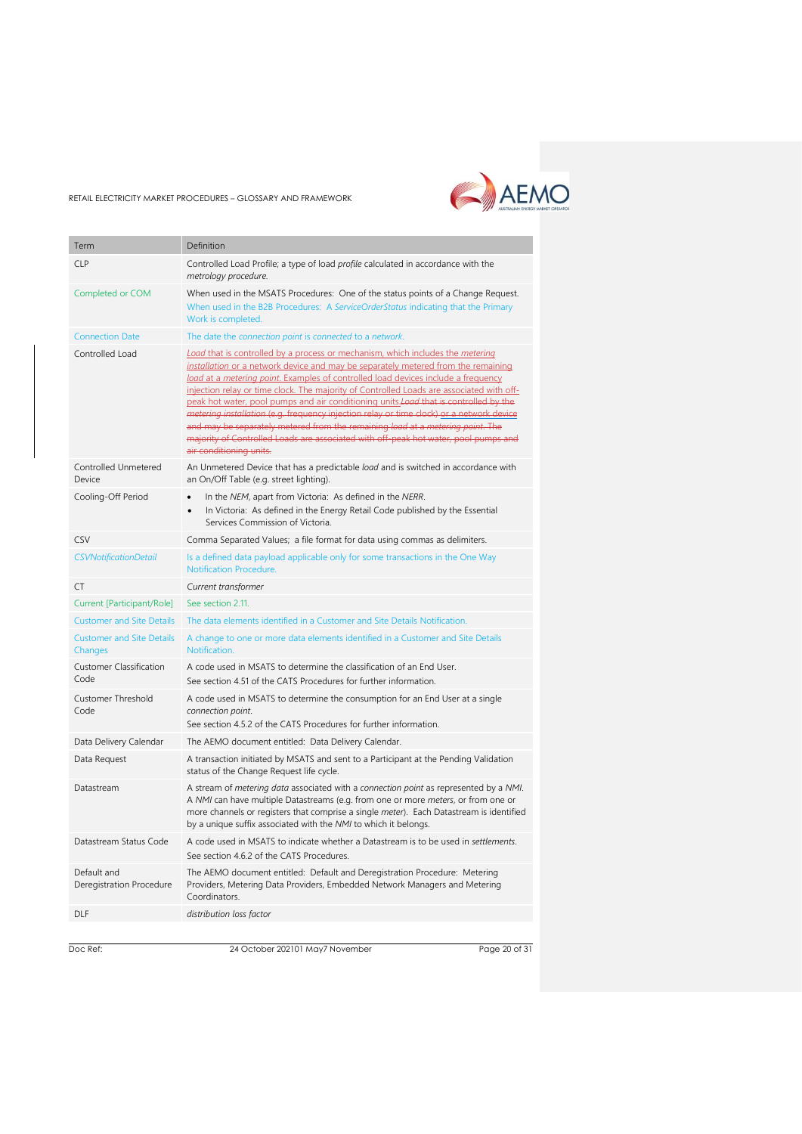

| Term                                        | Definition                                                                                                                                                                                                                                                                                                                                                                                                                                                                                                                                                                                                                                                                                                                                                  |
|---------------------------------------------|-------------------------------------------------------------------------------------------------------------------------------------------------------------------------------------------------------------------------------------------------------------------------------------------------------------------------------------------------------------------------------------------------------------------------------------------------------------------------------------------------------------------------------------------------------------------------------------------------------------------------------------------------------------------------------------------------------------------------------------------------------------|
| <b>CLP</b>                                  | Controlled Load Profile; a type of load profile calculated in accordance with the<br>metrology procedure.                                                                                                                                                                                                                                                                                                                                                                                                                                                                                                                                                                                                                                                   |
| Completed or COM                            | When used in the MSATS Procedures: One of the status points of a Change Request.<br>When used in the B2B Procedures: A ServiceOrderStatus indicating that the Primary<br>Work is completed.                                                                                                                                                                                                                                                                                                                                                                                                                                                                                                                                                                 |
| <b>Connection Date</b>                      | The date the connection point is connected to a network.                                                                                                                                                                                                                                                                                                                                                                                                                                                                                                                                                                                                                                                                                                    |
| Controlled Load                             | <b>Load that is controlled by a process or mechanism, which includes the metering</b><br>installation or a network device and may be separately metered from the remaining<br>load at a metering point. Examples of controlled load devices include a frequency<br>injection relay or time clock. The majority of Controlled Loads are associated with off-<br>peak hot water, pool pumps and air conditioning units, <i>Load</i> that is controlled by the<br>metering installation (e.g. frequency injection relay or time clock) or a network device<br>and may be separately metered from the remaining load at a metering point. The<br>majority of Controlled Loads are associated with off-peak hot water, pool pumps and<br>air conditioning units. |
| Controlled Unmetered<br>Device              | An Unmetered Device that has a predictable load and is switched in accordance with<br>an On/Off Table (e.g. street lighting).                                                                                                                                                                                                                                                                                                                                                                                                                                                                                                                                                                                                                               |
| Cooling-Off Period                          | In the NEM, apart from Victoria: As defined in the NERR.<br>In Victoria: As defined in the Energy Retail Code published by the Essential<br>Services Commission of Victoria.                                                                                                                                                                                                                                                                                                                                                                                                                                                                                                                                                                                |
| CSV                                         | Comma Separated Values; a file format for data using commas as delimiters.                                                                                                                                                                                                                                                                                                                                                                                                                                                                                                                                                                                                                                                                                  |
| <b>CSVNotificationDetail</b>                | Is a defined data payload applicable only for some transactions in the One Way<br><b>Notification Procedure.</b>                                                                                                                                                                                                                                                                                                                                                                                                                                                                                                                                                                                                                                            |
| CT                                          | Current transformer                                                                                                                                                                                                                                                                                                                                                                                                                                                                                                                                                                                                                                                                                                                                         |
| Current [Participant/Role]                  | See section 2.11.                                                                                                                                                                                                                                                                                                                                                                                                                                                                                                                                                                                                                                                                                                                                           |
| <b>Customer and Site Details</b>            | The data elements identified in a Customer and Site Details Notification.                                                                                                                                                                                                                                                                                                                                                                                                                                                                                                                                                                                                                                                                                   |
| <b>Customer and Site Details</b><br>Changes | A change to one or more data elements identified in a Customer and Site Details<br>Notification.                                                                                                                                                                                                                                                                                                                                                                                                                                                                                                                                                                                                                                                            |
| <b>Customer Classification</b><br>Code      | A code used in MSATS to determine the classification of an End User.<br>See section 4.51 of the CATS Procedures for further information.                                                                                                                                                                                                                                                                                                                                                                                                                                                                                                                                                                                                                    |
| <b>Customer Threshold</b><br>Code           | A code used in MSATS to determine the consumption for an End User at a single<br>connection point.<br>See section 4.5.2 of the CATS Procedures for further information.                                                                                                                                                                                                                                                                                                                                                                                                                                                                                                                                                                                     |
| Data Delivery Calendar                      | The AEMO document entitled: Data Delivery Calendar.                                                                                                                                                                                                                                                                                                                                                                                                                                                                                                                                                                                                                                                                                                         |
| Data Request                                | A transaction initiated by MSATS and sent to a Participant at the Pending Validation<br>status of the Change Request life cycle.                                                                                                                                                                                                                                                                                                                                                                                                                                                                                                                                                                                                                            |
| Datastream                                  | A stream of metering data associated with a connection point as represented by a NMI.<br>A NMI can have multiple Datastreams (e.g. from one or more meters, or from one or<br>more channels or registers that comprise a single <i>meter</i> ). Each Datastream is identified<br>by a unique suffix associated with the NMI to which it belongs.                                                                                                                                                                                                                                                                                                                                                                                                            |
| Datastream Status Code                      | A code used in MSATS to indicate whether a Datastream is to be used in settlements.<br>See section 4.6.2 of the CATS Procedures.                                                                                                                                                                                                                                                                                                                                                                                                                                                                                                                                                                                                                            |
| Default and<br>Deregistration Procedure     | The AEMO document entitled: Default and Deregistration Procedure: Metering<br>Providers, Metering Data Providers, Embedded Network Managers and Metering<br>Coordinators.                                                                                                                                                                                                                                                                                                                                                                                                                                                                                                                                                                                   |
| DLF                                         | distribution loss factor                                                                                                                                                                                                                                                                                                                                                                                                                                                                                                                                                                                                                                                                                                                                    |
|                                             |                                                                                                                                                                                                                                                                                                                                                                                                                                                                                                                                                                                                                                                                                                                                                             |

Doc Ref: 24 October 202101 May7 November

Page 20 of 31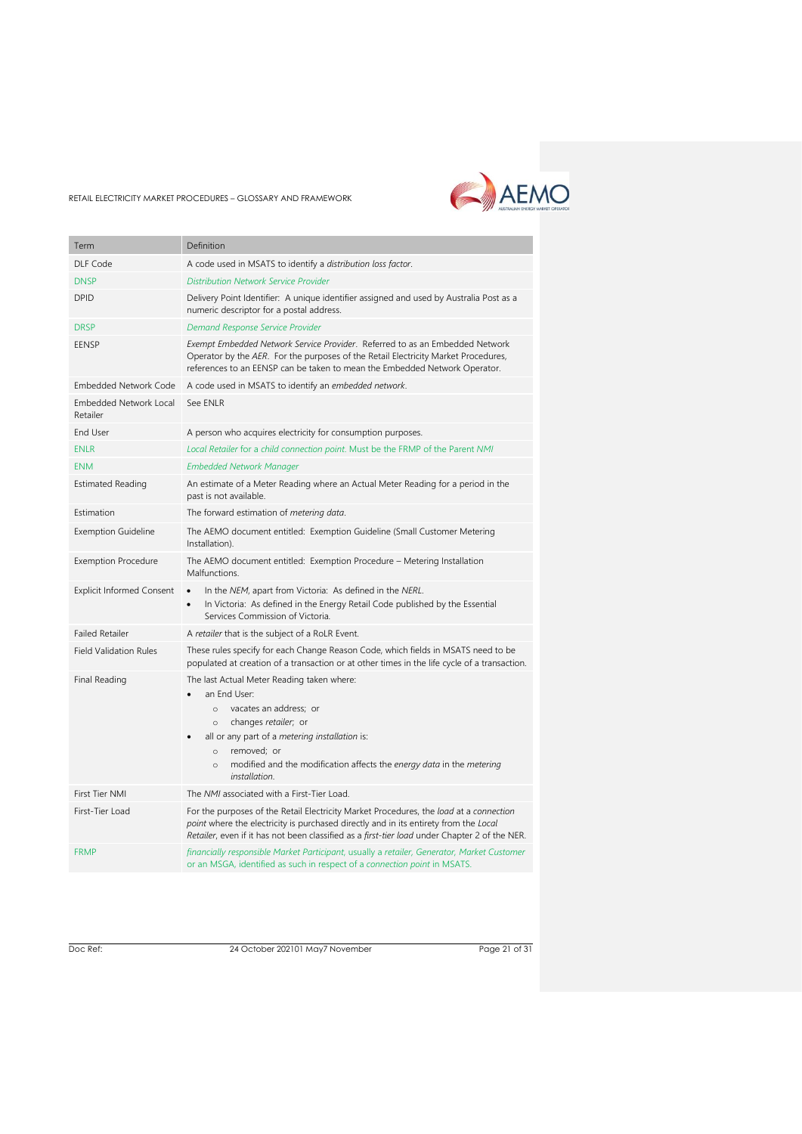

| Term                                      | Definition                                                                                                                                                                                                                                                                                                           |
|-------------------------------------------|----------------------------------------------------------------------------------------------------------------------------------------------------------------------------------------------------------------------------------------------------------------------------------------------------------------------|
| DLF Code                                  | A code used in MSATS to identify a distribution loss factor.                                                                                                                                                                                                                                                         |
| <b>DNSP</b>                               | <b>Distribution Network Service Provider</b>                                                                                                                                                                                                                                                                         |
| <b>DPID</b>                               | Delivery Point Identifier: A unique identifier assigned and used by Australia Post as a<br>numeric descriptor for a postal address.                                                                                                                                                                                  |
| <b>DRSP</b>                               | Demand Response Service Provider                                                                                                                                                                                                                                                                                     |
| EENSP                                     | Exempt Embedded Network Service Provider. Referred to as an Embedded Network<br>Operator by the AER. For the purposes of the Retail Electricity Market Procedures,<br>references to an EENSP can be taken to mean the Embedded Network Operator.                                                                     |
| <b>Embedded Network Code</b>              | A code used in MSATS to identify an embedded network.                                                                                                                                                                                                                                                                |
| <b>Embedded Network Local</b><br>Retailer | See ENLR                                                                                                                                                                                                                                                                                                             |
| <b>End User</b>                           | A person who acquires electricity for consumption purposes.                                                                                                                                                                                                                                                          |
| <b>ENLR</b>                               | Local Retailer for a child connection point. Must be the FRMP of the Parent NMI                                                                                                                                                                                                                                      |
| <b>ENM</b>                                | <b>Embedded Network Manager</b>                                                                                                                                                                                                                                                                                      |
| <b>Estimated Reading</b>                  | An estimate of a Meter Reading where an Actual Meter Reading for a period in the<br>past is not available.                                                                                                                                                                                                           |
| Estimation                                | The forward estimation of metering data.                                                                                                                                                                                                                                                                             |
| <b>Exemption Guideline</b>                | The AEMO document entitled: Exemption Guideline (Small Customer Metering<br>Installation).                                                                                                                                                                                                                           |
| <b>Exemption Procedure</b>                | The AEMO document entitled: Exemption Procedure - Metering Installation<br>Malfunctions.                                                                                                                                                                                                                             |
| <b>Explicit Informed Consent</b>          | In the NEM, apart from Victoria: As defined in the NERL.<br>$\bullet$<br>In Victoria: As defined in the Energy Retail Code published by the Essential<br>$\bullet$<br>Services Commission of Victoria.                                                                                                               |
| <b>Failed Retailer</b>                    | A retailer that is the subject of a RoLR Event.                                                                                                                                                                                                                                                                      |
| <b>Field Validation Rules</b>             | These rules specify for each Change Reason Code, which fields in MSATS need to be<br>populated at creation of a transaction or at other times in the life cycle of a transaction.                                                                                                                                    |
| Final Reading                             | The last Actual Meter Reading taken where:<br>an End User:<br>vacates an address; or<br>$\circ$<br>changes retailer; or<br>$\circ$<br>all or any part of a metering installation is:<br>removed; or<br>$\circ$<br>modified and the modification affects the energy data in the metering<br>$\Omega$<br>installation. |
| <b>First Tier NMI</b>                     | The NMI associated with a First-Tier Load.                                                                                                                                                                                                                                                                           |
| First-Tier Load                           | For the purposes of the Retail Electricity Market Procedures, the load at a connection<br>point where the electricity is purchased directly and in its entirety from the Local<br>Retailer, even if it has not been classified as a first-tier load under Chapter 2 of the NER.                                      |
| <b>FRMP</b>                               | financially responsible Market Participant, usually a retailer, Generator, Market Customer<br>or an MSGA, identified as such in respect of a connection point in MSATS.                                                                                                                                              |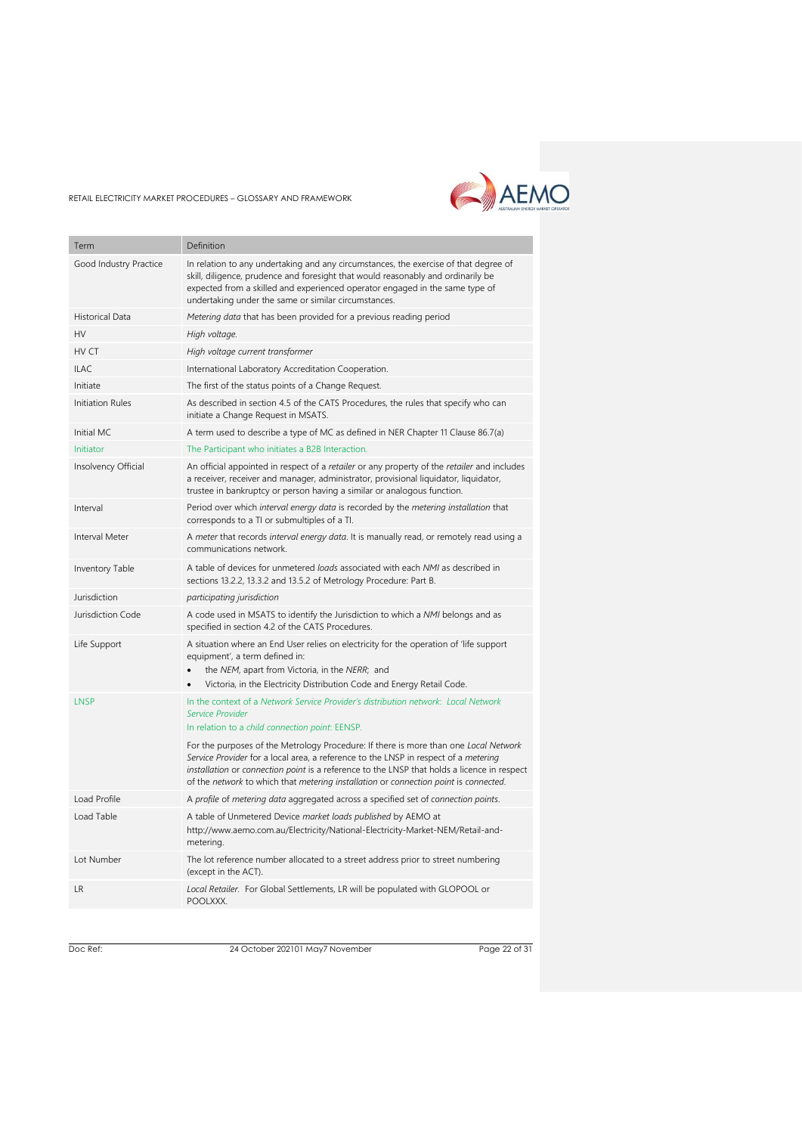

| Term                    | Definition                                                                                                                                                                                                                                                                                                                                                         |
|-------------------------|--------------------------------------------------------------------------------------------------------------------------------------------------------------------------------------------------------------------------------------------------------------------------------------------------------------------------------------------------------------------|
| Good Industry Practice  | In relation to any undertaking and any circumstances, the exercise of that degree of<br>skill, diligence, prudence and foresight that would reasonably and ordinarily be<br>expected from a skilled and experienced operator engaged in the same type of<br>undertaking under the same or similar circumstances.                                                   |
| <b>Historical Data</b>  | Metering data that has been provided for a previous reading period                                                                                                                                                                                                                                                                                                 |
| HV                      | High voltage.                                                                                                                                                                                                                                                                                                                                                      |
| HV CT                   | High voltage current transformer                                                                                                                                                                                                                                                                                                                                   |
| <b>ILAC</b>             | International Laboratory Accreditation Cooperation.                                                                                                                                                                                                                                                                                                                |
| Initiate                | The first of the status points of a Change Request.                                                                                                                                                                                                                                                                                                                |
| <b>Initiation Rules</b> | As described in section 4.5 of the CATS Procedures, the rules that specify who can<br>initiate a Change Request in MSATS.                                                                                                                                                                                                                                          |
| Initial MC              | A term used to describe a type of MC as defined in NER Chapter 11 Clause 86.7(a)                                                                                                                                                                                                                                                                                   |
| Initiator               | The Participant who initiates a B2B Interaction.                                                                                                                                                                                                                                                                                                                   |
| Insolvency Official     | An official appointed in respect of a retailer or any property of the retailer and includes<br>a receiver, receiver and manager, administrator, provisional liquidator, liquidator,<br>trustee in bankruptcy or person having a similar or analogous function.                                                                                                     |
| Interval                | Period over which interval energy data is recorded by the metering installation that<br>corresponds to a TI or submultiples of a TI.                                                                                                                                                                                                                               |
| Interval Meter          | A meter that records interval energy data. It is manually read, or remotely read using a<br>communications network.                                                                                                                                                                                                                                                |
| Inventory Table         | A table of devices for unmetered loads associated with each NMI as described in<br>sections 13.2.2, 13.3.2 and 13.5.2 of Metrology Procedure: Part B.                                                                                                                                                                                                              |
| Jurisdiction            | participating jurisdiction                                                                                                                                                                                                                                                                                                                                         |
| Jurisdiction Code       | A code used in MSATS to identify the Jurisdiction to which a NMI belongs and as<br>specified in section 4.2 of the CATS Procedures.                                                                                                                                                                                                                                |
| Life Support            | A situation where an End User relies on electricity for the operation of 'life support<br>equipment', a term defined in:<br>the NEM, apart from Victoria, in the NERR; and<br>Victoria, in the Electricity Distribution Code and Energy Retail Code.                                                                                                               |
| LNSP                    | In the context of a Network Service Provider's distribution network: Local Network<br>Service Provider<br>In relation to a child connection point: EENSP.                                                                                                                                                                                                          |
|                         | For the purposes of the Metrology Procedure: If there is more than one Local Network<br>Service Provider for a local area, a reference to the LNSP in respect of a metering<br>installation or connection point is a reference to the LNSP that holds a licence in respect<br>of the network to which that metering installation or connection point is connected. |
| Load Profile            | A profile of metering data aggregated across a specified set of connection points.                                                                                                                                                                                                                                                                                 |
| Load Table              | A table of Unmetered Device market loads published by AEMO at<br>http://www.aemo.com.au/Electricity/National-Electricity-Market-NEM/Retail-and-<br>metering.                                                                                                                                                                                                       |
| Lot Number              | The lot reference number allocated to a street address prior to street numbering<br>(except in the ACT).                                                                                                                                                                                                                                                           |
| <b>LR</b>               | Local Retailer. For Global Settlements, LR will be populated with GLOPOOL or<br>POOLXXX.                                                                                                                                                                                                                                                                           |
|                         |                                                                                                                                                                                                                                                                                                                                                                    |

Doc Ref: 24 October 202101 May7 November

Page 22 of 31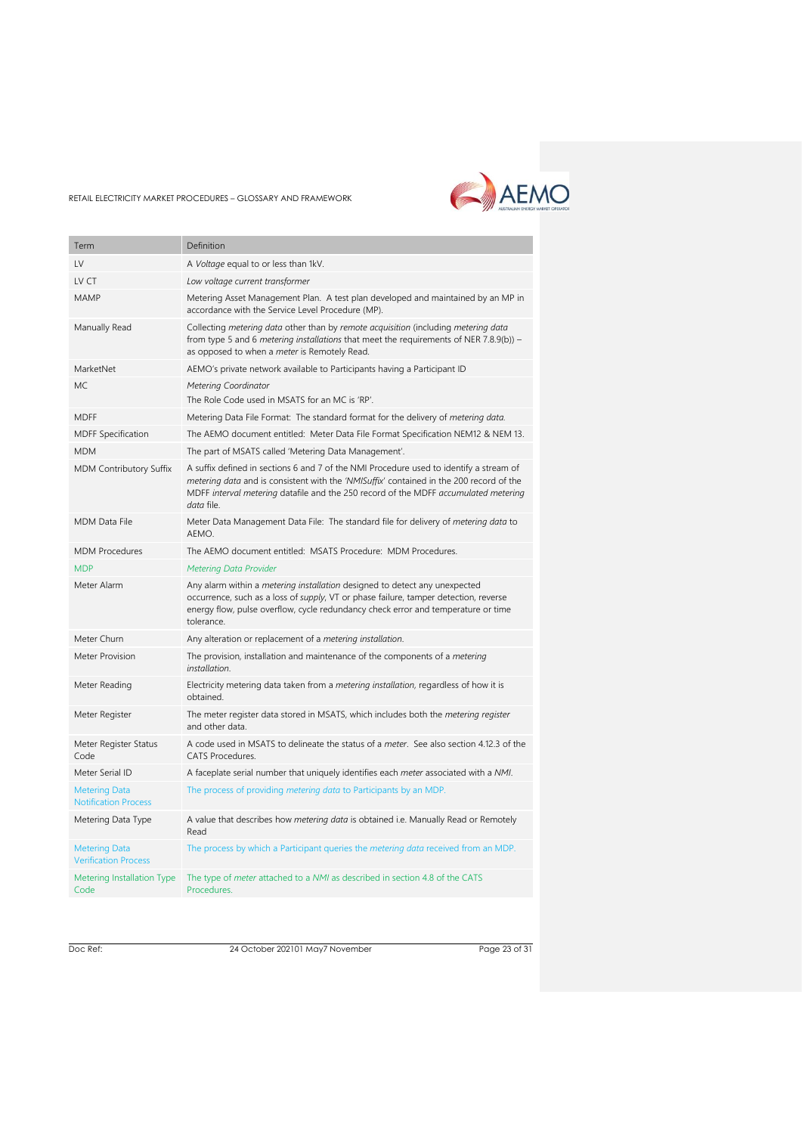

| Term                                                | Definition                                                                                                                                                                                                                                                                             |
|-----------------------------------------------------|----------------------------------------------------------------------------------------------------------------------------------------------------------------------------------------------------------------------------------------------------------------------------------------|
| $\mathsf{IV}$                                       | A Voltage equal to or less than 1kV.                                                                                                                                                                                                                                                   |
| LV CT                                               | Low voltage current transformer                                                                                                                                                                                                                                                        |
| MAMP                                                | Metering Asset Management Plan. A test plan developed and maintained by an MP in<br>accordance with the Service Level Procedure (MP).                                                                                                                                                  |
| Manually Read                                       | Collecting metering data other than by remote acquisition (including metering data<br>from type 5 and 6 metering installations that meet the requirements of NER 7.8.9(b)) –<br>as opposed to when a meter is Remotely Read.                                                           |
| MarketNet                                           | AEMO's private network available to Participants having a Participant ID                                                                                                                                                                                                               |
| <b>MC</b>                                           | <b>Metering Coordinator</b><br>The Role Code used in MSATS for an MC is 'RP'.                                                                                                                                                                                                          |
| <b>MDFF</b>                                         | Metering Data File Format: The standard format for the delivery of metering data.                                                                                                                                                                                                      |
| <b>MDFF Specification</b>                           | The AEMO document entitled: Meter Data File Format Specification NEM12 & NEM 13.                                                                                                                                                                                                       |
| <b>MDM</b>                                          | The part of MSATS called 'Metering Data Management'.                                                                                                                                                                                                                                   |
| MDM Contributory Suffix                             | A suffix defined in sections 6 and 7 of the NMI Procedure used to identify a stream of<br>metering data and is consistent with the 'NMISuffix' contained in the 200 record of the<br>MDFF interval metering datafile and the 250 record of the MDFF accumulated metering<br>data file. |
| <b>MDM Data File</b>                                | Meter Data Management Data File: The standard file for delivery of <i>metering data</i> to<br>AEMO.                                                                                                                                                                                    |
| <b>MDM Procedures</b>                               | The AEMO document entitled: MSATS Procedure: MDM Procedures.                                                                                                                                                                                                                           |
| <b>MDP</b>                                          | <b>Metering Data Provider</b>                                                                                                                                                                                                                                                          |
| Meter Alarm                                         | Any alarm within a <i>metering installation</i> designed to detect any unexpected<br>occurrence, such as a loss of <i>supply</i> , VT or phase failure, tamper detection, reverse<br>energy flow, pulse overflow, cycle redundancy check error and temperature or time<br>tolerance.   |
| Meter Churn                                         | Any alteration or replacement of a metering installation.                                                                                                                                                                                                                              |
| Meter Provision                                     | The provision, installation and maintenance of the components of a metering<br>installation.                                                                                                                                                                                           |
| Meter Reading                                       | Electricity metering data taken from a <i>metering installation</i> , regardless of how it is<br>obtained.                                                                                                                                                                             |
| Meter Register                                      | The meter register data stored in MSATS, which includes both the <i>metering register</i><br>and other data.                                                                                                                                                                           |
| Meter Register Status<br>Code                       | A code used in MSATS to delineate the status of a meter. See also section 4.12.3 of the<br>CATS Procedures.                                                                                                                                                                            |
| Meter Serial ID                                     | A faceplate serial number that uniquely identifies each meter associated with a NMI.                                                                                                                                                                                                   |
| <b>Metering Data</b><br><b>Notification Process</b> | The process of providing <i>metering data</i> to Participants by an MDP.                                                                                                                                                                                                               |
| Metering Data Type                                  | A value that describes how metering data is obtained i.e. Manually Read or Remotely<br>Read                                                                                                                                                                                            |
| <b>Metering Data</b><br><b>Verification Process</b> | The process by which a Participant queries the <i>metering data</i> received from an MDP.                                                                                                                                                                                              |
| Metering Installation Type<br>Code                  | The type of <i>meter</i> attached to a NMI as described in section 4.8 of the CATS<br>Procedures.                                                                                                                                                                                      |

Doc Ref: 24 October 202101 May7 November

Page 23 of 31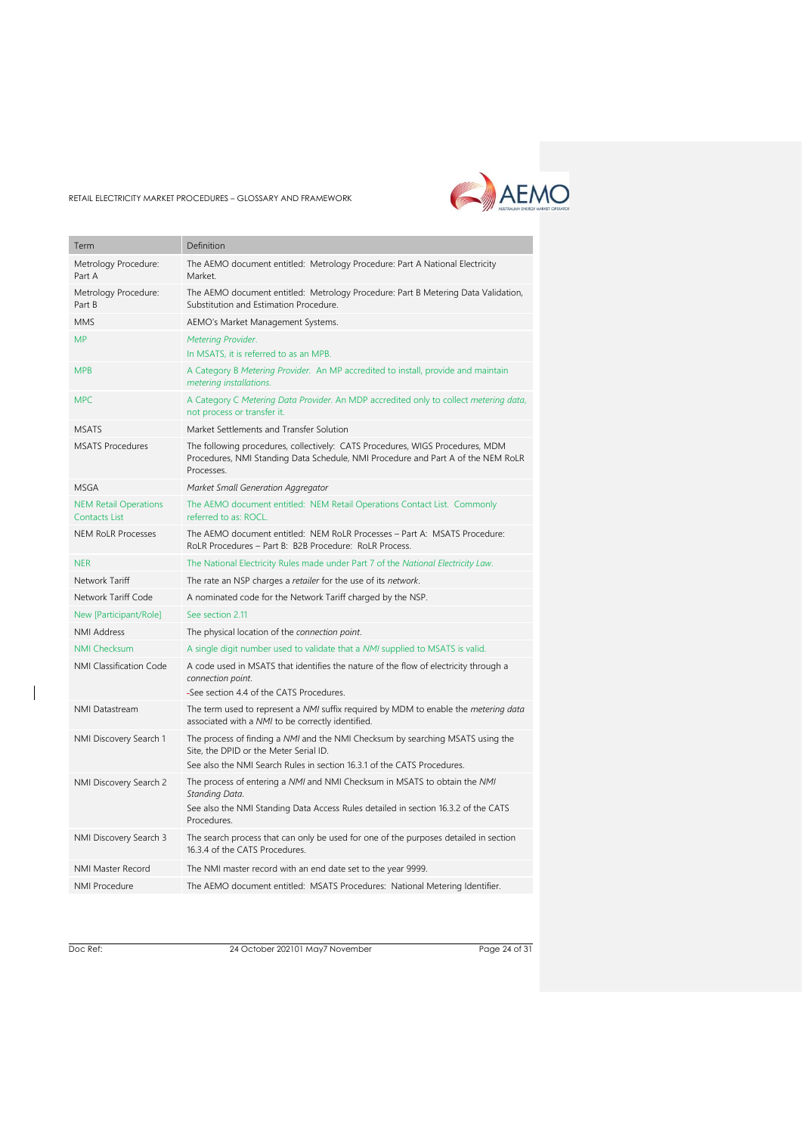

| Term                                          | Definition                                                                                                                                                                                          |
|-----------------------------------------------|-----------------------------------------------------------------------------------------------------------------------------------------------------------------------------------------------------|
| Metrology Procedure:<br>Part A                | The AEMO document entitled: Metrology Procedure: Part A National Electricity<br>Market.                                                                                                             |
| Metrology Procedure:<br>Part B                | The AEMO document entitled: Metrology Procedure: Part B Metering Data Validation,<br>Substitution and Estimation Procedure.                                                                         |
| <b>MMS</b>                                    | AEMO's Market Management Systems.                                                                                                                                                                   |
| <b>MP</b>                                     | Metering Provider.<br>In MSATS, it is referred to as an MPB.                                                                                                                                        |
| <b>MPB</b>                                    | A Category B Metering Provider. An MP accredited to install, provide and maintain<br>metering installations.                                                                                        |
| <b>MPC</b>                                    | A Category C Metering Data Provider. An MDP accredited only to collect metering data,<br>not process or transfer it.                                                                                |
| <b>MSATS</b>                                  | Market Settlements and Transfer Solution                                                                                                                                                            |
| <b>MSATS Procedures</b>                       | The following procedures, collectively: CATS Procedures, WIGS Procedures, MDM<br>Procedures, NMI Standing Data Schedule, NMI Procedure and Part A of the NEM RoLR<br>Processes.                     |
| <b>MSGA</b>                                   | Market Small Generation Aggregator                                                                                                                                                                  |
| <b>NEM Retail Operations</b><br>Contacts List | The AEMO document entitled: NEM Retail Operations Contact List. Commonly<br>referred to as: ROCL.                                                                                                   |
| <b>NEM RoLR Processes</b>                     | The AEMO document entitled: NEM RoLR Processes - Part A: MSATS Procedure:<br>RoLR Procedures - Part B: B2B Procedure: RoLR Process.                                                                 |
| <b>NER</b>                                    | The National Electricity Rules made under Part 7 of the National Electricity Law.                                                                                                                   |
| Network Tariff                                | The rate an NSP charges a retailer for the use of its network.                                                                                                                                      |
| Network Tariff Code                           | A nominated code for the Network Tariff charged by the NSP.                                                                                                                                         |
| New [Participant/Role]                        | See section 2.11                                                                                                                                                                                    |
| <b>NMI Address</b>                            | The physical location of the connection point.                                                                                                                                                      |
| <b>NMI Checksum</b>                           | A single digit number used to validate that a NMI supplied to MSATS is valid.                                                                                                                       |
| NMI Classification Code                       | A code used in MSATS that identifies the nature of the flow of electricity through a<br>connection point.<br>-See section 4.4 of the CATS Procedures.                                               |
| <b>NMI Datastream</b>                         | The term used to represent a NMI suffix required by MDM to enable the metering data<br>associated with a NMI to be correctly identified.                                                            |
| NMI Discovery Search 1                        | The process of finding a NMI and the NMI Checksum by searching MSATS using the<br>Site, the DPID or the Meter Serial ID.<br>See also the NMI Search Rules in section 16.3.1 of the CATS Procedures. |
| NMI Discovery Search 2                        | The process of entering a NMI and NMI Checksum in MSATS to obtain the NMI<br>Standing Data.<br>See also the NMI Standing Data Access Rules detailed in section 16.3.2 of the CATS<br>Procedures.    |
| NMI Discovery Search 3                        | The search process that can only be used for one of the purposes detailed in section<br>16.3.4 of the CATS Procedures.                                                                              |
| NMI Master Record                             | The NMI master record with an end date set to the year 9999.                                                                                                                                        |
| <b>NMI Procedure</b>                          | The AEMO document entitled: MSATS Procedures: National Metering Identifier.                                                                                                                         |
|                                               |                                                                                                                                                                                                     |

 $\overline{\phantom{a}}$ 

Doc Ref: 24 October 202101 May7 November

Page 24 of 31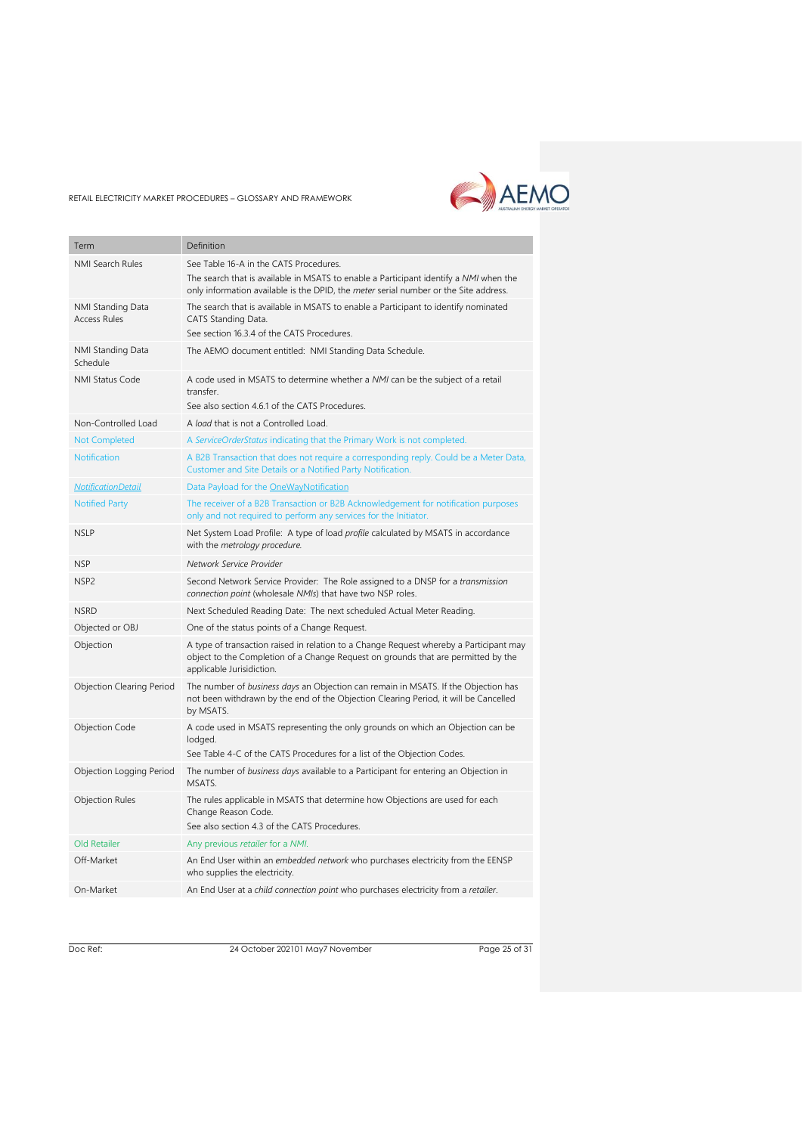

| Term                                     | Definition                                                                                                                                                                                                                     |
|------------------------------------------|--------------------------------------------------------------------------------------------------------------------------------------------------------------------------------------------------------------------------------|
| <b>NMI Search Rules</b>                  | See Table 16-A in the CATS Procedures.<br>The search that is available in MSATS to enable a Participant identify a NMI when the<br>only information available is the DPID, the <i>meter</i> serial number or the Site address. |
| NMI Standing Data<br><b>Access Rules</b> | The search that is available in MSATS to enable a Participant to identify nominated<br>CATS Standing Data.<br>See section 16.3.4 of the CATS Procedures.                                                                       |
| NMI Standing Data<br>Schedule            | The AEMO document entitled: NMI Standing Data Schedule.                                                                                                                                                                        |
| <b>NMI Status Code</b>                   | A code used in MSATS to determine whether a NMI can be the subject of a retail<br>transfer.<br>See also section 4.6.1 of the CATS Procedures.                                                                                  |
| Non-Controlled Load                      | A load that is not a Controlled Load.                                                                                                                                                                                          |
| <b>Not Completed</b>                     | A ServiceOrderStatus indicating that the Primary Work is not completed.                                                                                                                                                        |
| <b>Notification</b>                      | A B2B Transaction that does not require a corresponding reply. Could be a Meter Data,<br>Customer and Site Details or a Notified Party Notification.                                                                           |
| <b>NotificationDetail</b>                | Data Payload for the OneWayNotification                                                                                                                                                                                        |
| <b>Notified Party</b>                    | The receiver of a B2B Transaction or B2B Acknowledgement for notification purposes<br>only and not required to perform any services for the Initiator.                                                                         |
| <b>NSLP</b>                              | Net System Load Profile: A type of load profile calculated by MSATS in accordance<br>with the metrology procedure.                                                                                                             |
| <b>NSP</b>                               | Network Service Provider                                                                                                                                                                                                       |
| NSP <sub>2</sub>                         | Second Network Service Provider: The Role assigned to a DNSP for a <i>transmission</i><br>connection point (wholesale NMIs) that have two NSP roles.                                                                           |
| <b>NSRD</b>                              | Next Scheduled Reading Date: The next scheduled Actual Meter Reading.                                                                                                                                                          |
| Objected or OBJ                          | One of the status points of a Change Request.                                                                                                                                                                                  |
| Objection                                | A type of transaction raised in relation to a Change Request whereby a Participant may<br>object to the Completion of a Change Request on grounds that are permitted by the<br>applicable Jurisidiction.                       |
| Objection Clearing Period                | The number of business days an Objection can remain in MSATS. If the Objection has<br>not been withdrawn by the end of the Objection Clearing Period, it will be Cancelled<br>by MSATS.                                        |
| Objection Code                           | A code used in MSATS representing the only grounds on which an Objection can be<br>lodged.<br>See Table 4-C of the CATS Procedures for a list of the Objection Codes.                                                          |
| Objection Logging Period                 | The number of business days available to a Participant for entering an Objection in<br>MSATS.                                                                                                                                  |
| <b>Objection Rules</b>                   | The rules applicable in MSATS that determine how Objections are used for each<br>Change Reason Code.<br>See also section 4.3 of the CATS Procedures.                                                                           |
| Old Retailer                             | Any previous retailer for a NMI.                                                                                                                                                                                               |
| Off-Market                               | An End User within an embedded network who purchases electricity from the EENSP<br>who supplies the electricity.                                                                                                               |
| On-Market                                | An End User at a child connection point who purchases electricity from a retailer.                                                                                                                                             |

Doc Ref: 24 October 202101 May7 November

Page 25 of 31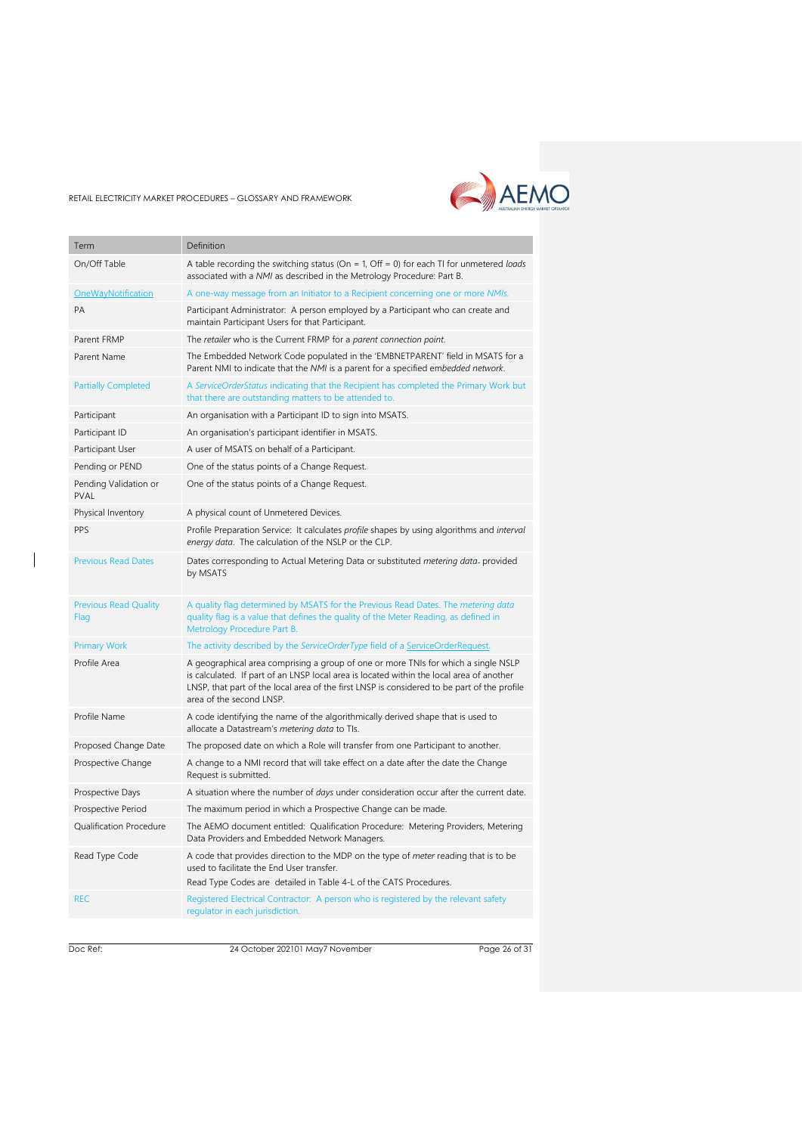

| Term                                 | Definition                                                                                                                                                                                                                                                                                                |
|--------------------------------------|-----------------------------------------------------------------------------------------------------------------------------------------------------------------------------------------------------------------------------------------------------------------------------------------------------------|
|                                      |                                                                                                                                                                                                                                                                                                           |
| On/Off Table                         | A table recording the switching status (On = 1, Off = 0) for each TI for unmetered loads<br>associated with a NMI as described in the Metrology Procedure: Part B.                                                                                                                                        |
| OneWayNotification                   | A one-way message from an Initiator to a Recipient concerning one or more NMIs.                                                                                                                                                                                                                           |
| PA                                   | Participant Administrator: A person employed by a Participant who can create and<br>maintain Participant Users for that Participant.                                                                                                                                                                      |
| Parent FRMP                          | The retailer who is the Current FRMP for a parent connection point.                                                                                                                                                                                                                                       |
| Parent Name                          | The Embedded Network Code populated in the 'EMBNETPARENT' field in MSATS for a<br>Parent NMI to indicate that the NMI is a parent for a specified embedded network.                                                                                                                                       |
| <b>Partially Completed</b>           | A ServiceOrderStatus indicating that the Recipient has completed the Primary Work but<br>that there are outstanding matters to be attended to.                                                                                                                                                            |
| Participant                          | An organisation with a Participant ID to sign into MSATS.                                                                                                                                                                                                                                                 |
| Participant ID                       | An organisation's participant identifier in MSATS.                                                                                                                                                                                                                                                        |
| Participant User                     | A user of MSATS on behalf of a Participant.                                                                                                                                                                                                                                                               |
| Pending or PEND                      | One of the status points of a Change Request.                                                                                                                                                                                                                                                             |
| Pending Validation or<br>PVAL        | One of the status points of a Change Request.                                                                                                                                                                                                                                                             |
| Physical Inventory                   | A physical count of Unmetered Devices.                                                                                                                                                                                                                                                                    |
| PPS                                  | Profile Preparation Service: It calculates profile shapes by using algorithms and interval<br>energy data. The calculation of the NSLP or the CLP.                                                                                                                                                        |
| <b>Previous Read Dates</b>           | Dates corresponding to Actual Metering Data or substituted metering data- provided<br>by MSATS                                                                                                                                                                                                            |
| <b>Previous Read Quality</b><br>Flag | A quality flag determined by MSATS for the Previous Read Dates. The <i>metering data</i><br>quality flag is a value that defines the quality of the Meter Reading, as defined in<br>Metrology Procedure Part B.                                                                                           |
| <b>Primary Work</b>                  | The activity described by the ServiceOrderType field of a ServiceOrderRequest.                                                                                                                                                                                                                            |
| Profile Area                         | A geographical area comprising a group of one or more TNIs for which a single NSLP<br>is calculated. If part of an LNSP local area is located within the local area of another<br>LNSP, that part of the local area of the first LNSP is considered to be part of the profile<br>area of the second LNSP. |
| Profile Name                         | A code identifying the name of the algorithmically derived shape that is used to<br>allocate a Datastream's metering data to TIs.                                                                                                                                                                         |
| Proposed Change Date                 | The proposed date on which a Role will transfer from one Participant to another.                                                                                                                                                                                                                          |
| Prospective Change                   | A change to a NMI record that will take effect on a date after the date the Change<br>Request is submitted.                                                                                                                                                                                               |
| Prospective Days                     | A situation where the number of <i>days</i> under consideration occur after the current date.                                                                                                                                                                                                             |
| Prospective Period                   | The maximum period in which a Prospective Change can be made.                                                                                                                                                                                                                                             |
| Qualification Procedure              | The AEMO document entitled: Qualification Procedure: Metering Providers, Metering<br>Data Providers and Embedded Network Managers.                                                                                                                                                                        |
| Read Type Code                       | A code that provides direction to the MDP on the type of meter reading that is to be<br>used to facilitate the End User transfer.<br>Read Type Codes are detailed in Table 4-L of the CATS Procedures.                                                                                                    |
| <b>REC</b>                           | Registered Electrical Contractor: A person who is registered by the relevant safety<br>regulator in each jurisdiction.                                                                                                                                                                                    |

 $\overline{\phantom{a}}$ 

Doc Ref: 24 October 202101 May7 November

Page 26 of 31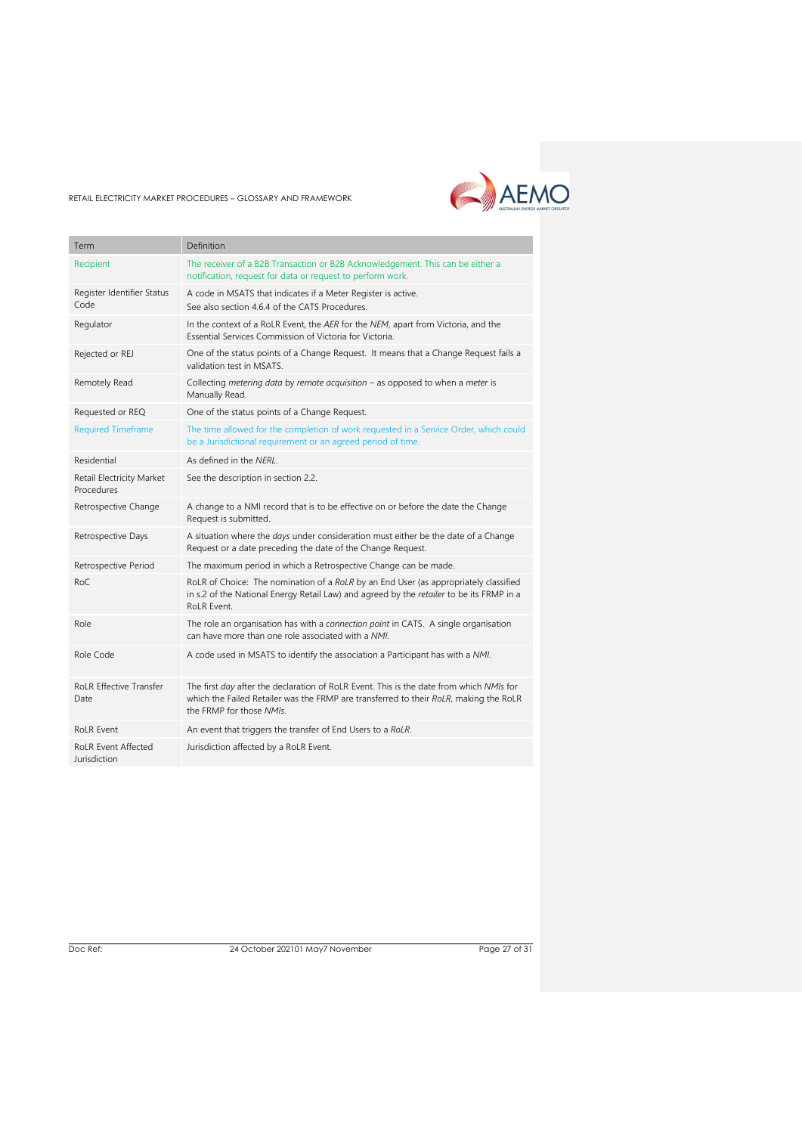

| Term                                       | Definition                                                                                                                                                                                                   |
|--------------------------------------------|--------------------------------------------------------------------------------------------------------------------------------------------------------------------------------------------------------------|
| Recipient                                  | The receiver of a B2B Transaction or B2B Acknowledgement. This can be either a<br>notification, request for data or request to perform work.                                                                 |
| Register Identifier Status<br>Code         | A code in MSATS that indicates if a Meter Register is active.<br>See also section 4.6.4 of the CATS Procedures.                                                                                              |
| Regulator                                  | In the context of a RoLR Event, the AER for the NEM, apart from Victoria, and the<br>Essential Services Commission of Victoria for Victoria.                                                                 |
| Rejected or REJ                            | One of the status points of a Change Request. It means that a Change Request fails a<br>validation test in MSATS.                                                                                            |
| Remotely Read                              | Collecting metering data by remote acquisition $-$ as opposed to when a meter is<br>Manually Read.                                                                                                           |
| Requested or REQ                           | One of the status points of a Change Request.                                                                                                                                                                |
| <b>Required Timeframe</b>                  | The time allowed for the completion of work requested in a Service Order, which could<br>be a Jurisdictional requirement or an agreed period of time.                                                        |
| Residential                                | As defined in the NERL.                                                                                                                                                                                      |
| Retail Electricity Market<br>Procedures    | See the description in section 2.2.                                                                                                                                                                          |
| Retrospective Change                       | A change to a NMI record that is to be effective on or before the date the Change<br>Request is submitted.                                                                                                   |
| Retrospective Days                         | A situation where the <i>days</i> under consideration must either be the date of a Change<br>Request or a date preceding the date of the Change Request.                                                     |
| Retrospective Period                       | The maximum period in which a Retrospective Change can be made.                                                                                                                                              |
| RoC                                        | RoLR of Choice: The nomination of a RoLR by an End User (as appropriately classified<br>in s.2 of the National Energy Retail Law) and agreed by the retailer to be its FRMP in a<br>RoLR Event.              |
| Role                                       | The role an organisation has with a connection point in CATS. A single organisation<br>can have more than one role associated with a NMI.                                                                    |
| Role Code                                  | A code used in MSATS to identify the association a Participant has with a NMI.                                                                                                                               |
| <b>RoLR Effective Transfer</b><br>Date     | The first day after the declaration of RoLR Event. This is the date from which NMIs for<br>which the Failed Retailer was the FRMP are transferred to their RoLR, making the RoLR<br>the FRMP for those NMIs. |
| <b>RoLR Event</b>                          | An event that triggers the transfer of End Users to a RoLR.                                                                                                                                                  |
| <b>RoLR Event Affected</b><br>Jurisdiction | Jurisdiction affected by a RoLR Event.                                                                                                                                                                       |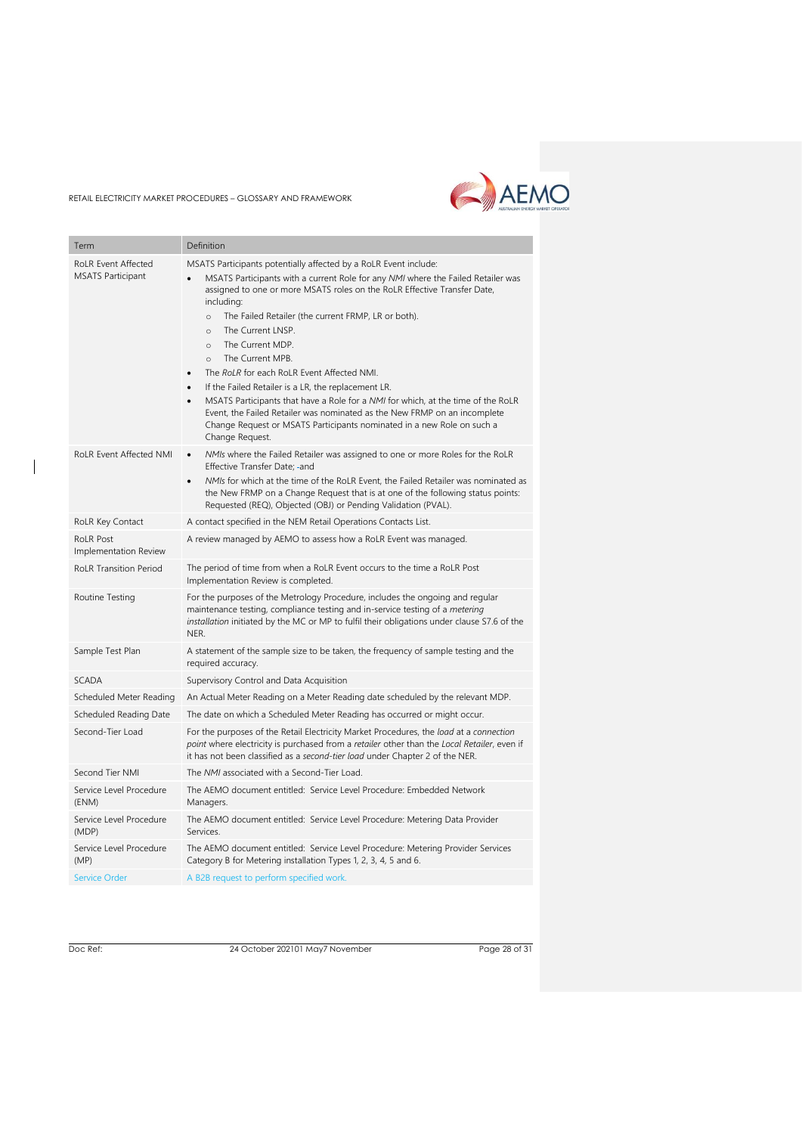

| Term                                      | Definition                                                                                                                                                                                                                                                                                                                                                                                                                                                                                                                                                                                                                                                                                                    |
|-------------------------------------------|---------------------------------------------------------------------------------------------------------------------------------------------------------------------------------------------------------------------------------------------------------------------------------------------------------------------------------------------------------------------------------------------------------------------------------------------------------------------------------------------------------------------------------------------------------------------------------------------------------------------------------------------------------------------------------------------------------------|
| <b>RoLR Event Affected</b>                | MSATS Participants potentially affected by a RoLR Event include:                                                                                                                                                                                                                                                                                                                                                                                                                                                                                                                                                                                                                                              |
| <b>MSATS Participant</b>                  | MSATS Participants with a current Role for any NMI where the Failed Retailer was<br>assigned to one or more MSATS roles on the RoLR Effective Transfer Date,<br>including:<br>The Failed Retailer (the current FRMP, LR or both).<br>$\circ$<br>The Current LNSP.<br>$\circ$<br>The Current MDP.<br>$\circ$<br>The Current MPB.<br>$\circ$<br>The RoLR for each RoLR Event Affected NMI.<br>If the Failed Retailer is a LR, the replacement LR.<br>MSATS Participants that have a Role for a NMI for which, at the time of the RoLR<br>Event, the Failed Retailer was nominated as the New FRMP on an incomplete<br>Change Request or MSATS Participants nominated in a new Role on such a<br>Change Request. |
| RoLR Event Affected NMI                   | NMIs where the Failed Retailer was assigned to one or more Roles for the RoLR<br>Effective Transfer Date; -and<br>NMIs for which at the time of the RoLR Event, the Failed Retailer was nominated as<br>$\bullet$<br>the New FRMP on a Change Request that is at one of the following status points:                                                                                                                                                                                                                                                                                                                                                                                                          |
|                                           | Requested (REQ), Objected (OBJ) or Pending Validation (PVAL).                                                                                                                                                                                                                                                                                                                                                                                                                                                                                                                                                                                                                                                 |
| RoLR Key Contact                          | A contact specified in the NEM Retail Operations Contacts List.                                                                                                                                                                                                                                                                                                                                                                                                                                                                                                                                                                                                                                               |
| <b>RoLR Post</b><br>Implementation Review | A review managed by AEMO to assess how a RoLR Event was managed.                                                                                                                                                                                                                                                                                                                                                                                                                                                                                                                                                                                                                                              |
| <b>RoLR Transition Period</b>             | The period of time from when a RoLR Event occurs to the time a RoLR Post<br>Implementation Review is completed.                                                                                                                                                                                                                                                                                                                                                                                                                                                                                                                                                                                               |
| Routine Testing                           | For the purposes of the Metrology Procedure, includes the ongoing and regular<br>maintenance testing, compliance testing and in-service testing of a metering<br>installation initiated by the MC or MP to fulfil their obligations under clause S7.6 of the<br>NER.                                                                                                                                                                                                                                                                                                                                                                                                                                          |
| Sample Test Plan                          | A statement of the sample size to be taken, the frequency of sample testing and the<br>required accuracy.                                                                                                                                                                                                                                                                                                                                                                                                                                                                                                                                                                                                     |
| <b>SCADA</b>                              | Supervisory Control and Data Acquisition                                                                                                                                                                                                                                                                                                                                                                                                                                                                                                                                                                                                                                                                      |
| Scheduled Meter Reading                   | An Actual Meter Reading on a Meter Reading date scheduled by the relevant MDP.                                                                                                                                                                                                                                                                                                                                                                                                                                                                                                                                                                                                                                |
| Scheduled Reading Date                    | The date on which a Scheduled Meter Reading has occurred or might occur.                                                                                                                                                                                                                                                                                                                                                                                                                                                                                                                                                                                                                                      |
| Second-Tier Load                          | For the purposes of the Retail Electricity Market Procedures, the load at a connection<br>point where electricity is purchased from a retailer other than the Local Retailer, even if<br>it has not been classified as a second-tier load under Chapter 2 of the NER.                                                                                                                                                                                                                                                                                                                                                                                                                                         |
| Second Tier NMI                           | The NMI associated with a Second-Tier Load.                                                                                                                                                                                                                                                                                                                                                                                                                                                                                                                                                                                                                                                                   |
| Service Level Procedure<br>(ENM)          | The AEMO document entitled: Service Level Procedure: Embedded Network<br>Managers.                                                                                                                                                                                                                                                                                                                                                                                                                                                                                                                                                                                                                            |
| Service Level Procedure<br>(MDP)          | The AEMO document entitled: Service Level Procedure: Metering Data Provider<br>Services.                                                                                                                                                                                                                                                                                                                                                                                                                                                                                                                                                                                                                      |
| Service Level Procedure<br>(MP)           | The AEMO document entitled: Service Level Procedure: Metering Provider Services<br>Category B for Metering installation Types 1, 2, 3, 4, 5 and 6.                                                                                                                                                                                                                                                                                                                                                                                                                                                                                                                                                            |
| <b>Service Order</b>                      | A B2B request to perform specified work.                                                                                                                                                                                                                                                                                                                                                                                                                                                                                                                                                                                                                                                                      |

 $\overline{\phantom{a}}$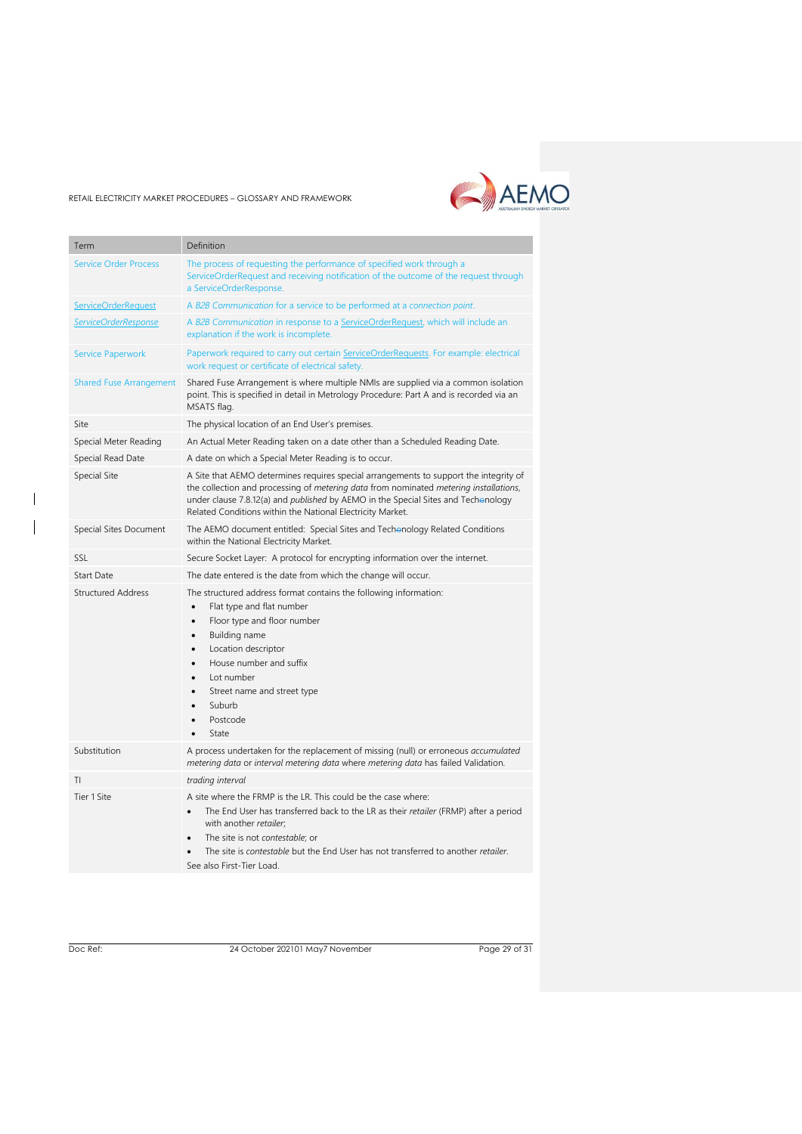# AEMO

#### RETAIL ELECTRICITY MARKET PROCEDURES – GLOSSARY AND FRAMEWORK

| Term                           | Definition                                                                                                                                                                                                                                                                                                                                                                    |
|--------------------------------|-------------------------------------------------------------------------------------------------------------------------------------------------------------------------------------------------------------------------------------------------------------------------------------------------------------------------------------------------------------------------------|
| <b>Service Order Process</b>   | The process of requesting the performance of specified work through a<br>ServiceOrderRequest and receiving notification of the outcome of the request through<br>a ServiceOrderResponse.                                                                                                                                                                                      |
| <b>ServiceOrderRequest</b>     | A B2B Communication for a service to be performed at a connection point.                                                                                                                                                                                                                                                                                                      |
| ServiceOrderResponse           | A B2B Communication in response to a ServiceOrderRequest, which will include an<br>explanation if the work is incomplete.                                                                                                                                                                                                                                                     |
| <b>Service Paperwork</b>       | Paperwork required to carry out certain ServiceOrderRequests. For example: electrical<br>work request or certificate of electrical safety.                                                                                                                                                                                                                                    |
| <b>Shared Fuse Arrangement</b> | Shared Fuse Arrangement is where multiple NMIs are supplied via a common isolation<br>point. This is specified in detail in Metrology Procedure: Part A and is recorded via an<br>MSATS flag.                                                                                                                                                                                 |
| Site                           | The physical location of an End User's premises.                                                                                                                                                                                                                                                                                                                              |
| Special Meter Reading          | An Actual Meter Reading taken on a date other than a Scheduled Reading Date.                                                                                                                                                                                                                                                                                                  |
| Special Read Date              | A date on which a Special Meter Reading is to occur.                                                                                                                                                                                                                                                                                                                          |
| Special Site                   | A Site that AEMO determines requires special arrangements to support the integrity of<br>the collection and processing of metering data from nominated metering installations,<br>under clause 7.8.12(a) and published by AEMO in the Special Sites and Techonology<br>Related Conditions within the National Electricity Market.                                             |
| Special Sites Document         | The AEMO document entitled: Special Sites and Techonology Related Conditions<br>within the National Electricity Market.                                                                                                                                                                                                                                                       |
| SSL                            | Secure Socket Layer: A protocol for encrypting information over the internet.                                                                                                                                                                                                                                                                                                 |
| Start Date                     | The date entered is the date from which the change will occur.                                                                                                                                                                                                                                                                                                                |
| <b>Structured Address</b>      | The structured address format contains the following information:<br>Flat type and flat number<br>$\bullet$<br>Floor type and floor number<br>$\bullet$<br>Building name<br>Location descriptor<br>$\bullet$<br>House number and suffix<br>Lot number<br>$\bullet$<br>Street name and street type<br>$\bullet$<br>Suburb<br>Postcode<br>State                                 |
| Substitution                   | A process undertaken for the replacement of missing (null) or erroneous accumulated<br>metering data or interval metering data where metering data has failed Validation.                                                                                                                                                                                                     |
| ΤI                             | trading interval                                                                                                                                                                                                                                                                                                                                                              |
| Tier 1 Site                    | A site where the FRMP is the LR. This could be the case where:<br>The End User has transferred back to the LR as their retailer (FRMP) after a period<br>$\bullet$<br>with another retailer:<br>The site is not contestable; or<br>$\bullet$<br>The site is <i>contestable</i> but the End User has not transferred to another <i>retailer</i> .<br>See also First-Tier Load. |
|                                |                                                                                                                                                                                                                                                                                                                                                                               |

 $\overline{\phantom{a}}$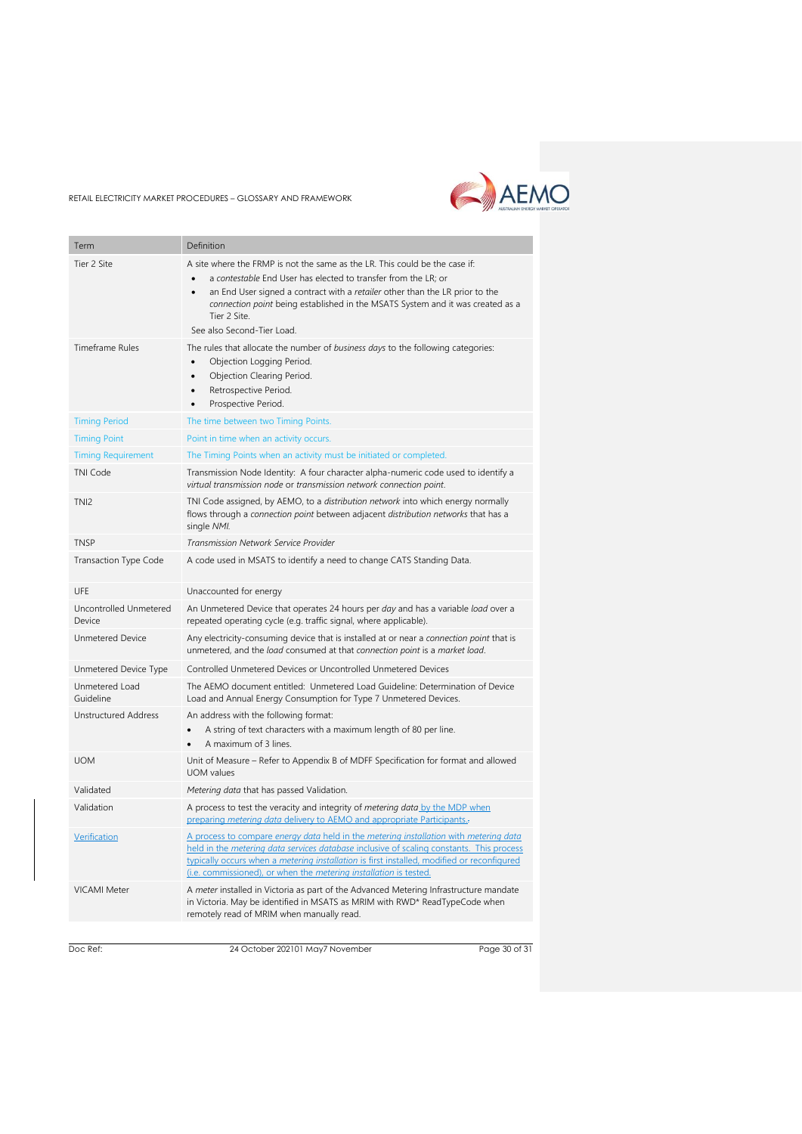

| Term                             | Definition                                                                                                                                                                                                                                                                                                                                                                 |
|----------------------------------|----------------------------------------------------------------------------------------------------------------------------------------------------------------------------------------------------------------------------------------------------------------------------------------------------------------------------------------------------------------------------|
| Tier 2 Site                      | A site where the FRMP is not the same as the LR. This could be the case if:<br>a contestable End User has elected to transfer from the LR; or<br>an End User signed a contract with a retailer other than the LR prior to the<br>$\bullet$<br>connection point being established in the MSATS System and it was created as a<br>Tier 2 Site.<br>See also Second-Tier Load. |
| <b>Timeframe Rules</b>           | The rules that allocate the number of business days to the following categories:<br>Objection Logging Period.<br>$\bullet$<br>Objection Clearing Period.<br>$\bullet$<br>Retrospective Period.<br>$\bullet$<br>Prospective Period.<br>$\bullet$                                                                                                                            |
| <b>Timing Period</b>             | The time between two Timing Points.                                                                                                                                                                                                                                                                                                                                        |
| <b>Timing Point</b>              | Point in time when an activity occurs.                                                                                                                                                                                                                                                                                                                                     |
| <b>Timing Requirement</b>        | The Timing Points when an activity must be initiated or completed.                                                                                                                                                                                                                                                                                                         |
| <b>TNI Code</b>                  | Transmission Node Identity: A four character alpha-numeric code used to identify a<br>virtual transmission node or transmission network connection point.                                                                                                                                                                                                                  |
| TNI <sub>2</sub>                 | TNI Code assigned, by AEMO, to a distribution network into which energy normally<br>flows through a connection point between adjacent distribution networks that has a<br>single NMI.                                                                                                                                                                                      |
| <b>TNSP</b>                      | <b>Transmission Network Service Provider</b>                                                                                                                                                                                                                                                                                                                               |
| <b>Transaction Type Code</b>     | A code used in MSATS to identify a need to change CATS Standing Data.                                                                                                                                                                                                                                                                                                      |
| UFE                              | Unaccounted for energy                                                                                                                                                                                                                                                                                                                                                     |
| Uncontrolled Unmetered<br>Device | An Unmetered Device that operates 24 hours per day and has a variable load over a<br>repeated operating cycle (e.g. traffic signal, where applicable).                                                                                                                                                                                                                     |
| <b>Unmetered Device</b>          | Any electricity-consuming device that is installed at or near a connection point that is<br>unmetered, and the load consumed at that connection point is a market load.                                                                                                                                                                                                    |
| Unmetered Device Type            | Controlled Unmetered Devices or Uncontrolled Unmetered Devices                                                                                                                                                                                                                                                                                                             |
| Unmetered Load<br>Guideline      | The AEMO document entitled: Unmetered Load Guideline: Determination of Device<br>Load and Annual Energy Consumption for Type 7 Unmetered Devices.                                                                                                                                                                                                                          |
| <b>Unstructured Address</b>      | An address with the following format:<br>A string of text characters with a maximum length of 80 per line.<br>A maximum of 3 lines.                                                                                                                                                                                                                                        |
| <b>UOM</b>                       | Unit of Measure - Refer to Appendix B of MDFF Specification for format and allowed<br><b>UOM</b> values                                                                                                                                                                                                                                                                    |
| Validated                        | Metering data that has passed Validation.                                                                                                                                                                                                                                                                                                                                  |
| Validation                       | A process to test the veracity and integrity of <i>metering data</i> by the MDP when<br>preparing metering data delivery to AEMO and appropriate Participants.                                                                                                                                                                                                             |
| Verification                     | A process to compare energy data held in the metering installation with metering data<br>held in the <i>metering data services database</i> inclusive of scaling constants. This process<br>typically occurs when a metering installation is first installed, modified or reconfigured<br>(i.e. commissioned), or when the <i>metering installation</i> is tested.         |
| <b>VICAMI Meter</b>              | A meter installed in Victoria as part of the Advanced Metering Infrastructure mandate<br>in Victoria. May be identified in MSATS as MRIM with RWD* ReadTypeCode when<br>remotely read of MRIM when manually read.                                                                                                                                                          |

Doc Ref: 24 October 202101 May7 November

Page 30 of 31